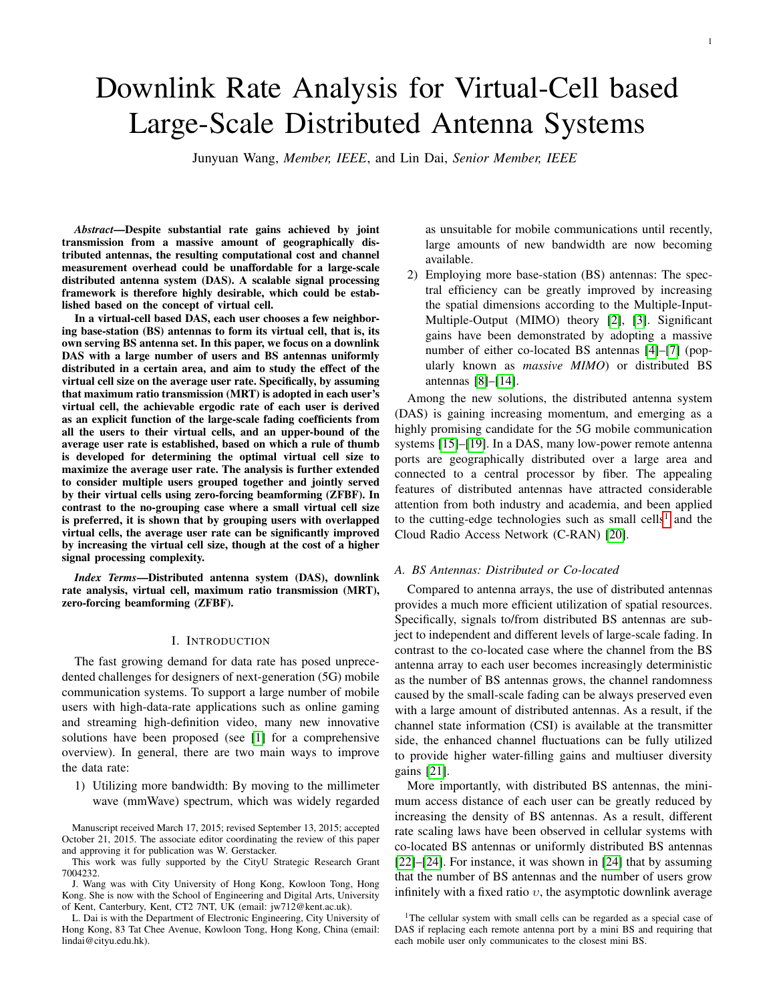# Downlink Rate Analysis for Virtual-Cell based Large-Scale Distributed Antenna Systems

Junyuan Wang, *Member, IEEE*, and Lin Dai, *Senior Member, IEEE*

*Abstract*—Despite substantial rate gains achieved by joint transmission from a massive amount of geographically distributed antennas, the resulting computational cost and channel measurement overhead could be unaffordable for a large-scale distributed antenna system (DAS). A scalable signal processing framework is therefore highly desirable, which could be established based on the concept of virtual cell.

In a virtual-cell based DAS, each user chooses a few neighboring base-station (BS) antennas to form its virtual cell, that is, its own serving BS antenna set. In this paper, we focus on a downlink DAS with a large number of users and BS antennas uniformly distributed in a certain area, and aim to study the effect of the virtual cell size on the average user rate. Specifically, by assuming that maximum ratio transmission (MRT) is adopted in each user's virtual cell, the achievable ergodic rate of each user is derived as an explicit function of the large-scale fading coefficients from all the users to their virtual cells, and an upper-bound of the average user rate is established, based on which a rule of thumb is developed for determining the optimal virtual cell size to maximize the average user rate. The analysis is further extended to consider multiple users grouped together and jointly served by their virtual cells using zero-forcing beamforming (ZFBF). In contrast to the no-grouping case where a small virtual cell size is preferred, it is shown that by grouping users with overlapped virtual cells, the average user rate can be significantly improved by increasing the virtual cell size, though at the cost of a higher signal processing complexity.

*Index Terms*—Distributed antenna system (DAS), downlink rate analysis, virtual cell, maximum ratio transmission (MRT), zero-forcing beamforming (ZFBF).

## I. INTRODUCTION

The fast growing demand for data rate has posed unprecedented challenges for designers of next-generation (5G) mobile communication systems. To support a large number of mobile users with high-data-rate applications such as online gaming and streaming high-definition video, many new innovative solutions have been proposed (see [\[1\]](#page-12-0) for a comprehensive overview). In general, there are two main ways to improve the data rate:

1) Utilizing more bandwidth: By moving to the millimeter wave (mmWave) spectrum, which was widely regarded

Manuscript received March 17, 2015; revised September 13, 2015; accepted October 21, 2015. The associate editor coordinating the review of this paper and approving it for publication was W. Gerstacker.

This work was fully supported by the CityU Strategic Research Grant 7004232.

as unsuitable for mobile communications until recently, large amounts of new bandwidth are now becoming available.

2) Employing more base-station (BS) antennas: The spectral efficiency can be greatly improved by increasing the spatial dimensions according to the Multiple-Input-Multiple-Output (MIMO) theory [\[2\]](#page-12-1), [\[3\]](#page-12-2). Significant gains have been demonstrated by adopting a massive number of either co-located BS antennas [\[4\]](#page-12-3)–[\[7\]](#page-12-4) (popularly known as *massive MIMO*) or distributed BS antennas [\[8\]](#page-12-5)–[\[14\]](#page-12-6).

Among the new solutions, the distributed antenna system (DAS) is gaining increasing momentum, and emerging as a highly promising candidate for the 5G mobile communication systems [\[15\]](#page-12-7)–[\[19\]](#page-12-8). In a DAS, many low-power remote antenna ports are geographically distributed over a large area and connected to a central processor by fiber. The appealing features of distributed antennas have attracted considerable attention from both industry and academia, and been applied to the cutting-edge technologies such as small cells<sup>[1](#page-0-0)</sup> and the Cloud Radio Access Network (C-RAN) [\[20\]](#page-12-9).

# *A. BS Antennas: Distributed or Co-located*

Compared to antenna arrays, the use of distributed antennas provides a much more efficient utilization of spatial resources. Specifically, signals to/from distributed BS antennas are subject to independent and different levels of large-scale fading. In contrast to the co-located case where the channel from the BS antenna array to each user becomes increasingly deterministic as the number of BS antennas grows, the channel randomness caused by the small-scale fading can be always preserved even with a large amount of distributed antennas. As a result, if the channel state information (CSI) is available at the transmitter side, the enhanced channel fluctuations can be fully utilized to provide higher water-filling gains and multiuser diversity gains [\[21\]](#page-12-10).

More importantly, with distributed BS antennas, the minimum access distance of each user can be greatly reduced by increasing the density of BS antennas. As a result, different rate scaling laws have been observed in cellular systems with co-located BS antennas or uniformly distributed BS antennas [\[22\]](#page-13-0)–[\[24\]](#page-13-1). For instance, it was shown in [\[24\]](#page-13-1) that by assuming that the number of BS antennas and the number of users grow infinitely with a fixed ratio  $v$ , the asymptotic downlink average

J. Wang was with City University of Hong Kong, Kowloon Tong, Hong Kong. She is now with the School of Engineering and Digital Arts, University of Kent, Canterbury, Kent, CT2 7NT, UK (email: jw712@kent.ac.uk).

L. Dai is with the Department of Electronic Engineering, City University of Hong Kong, 83 Tat Chee Avenue, Kowloon Tong, Hong Kong, China (email: lindai@cityu.edu.hk).

<span id="page-0-0"></span><sup>&</sup>lt;sup>1</sup>The cellular system with small cells can be regarded as a special case of DAS if replacing each remote antenna port by a mini BS and requiring that each mobile user only communicates to the closest mini BS.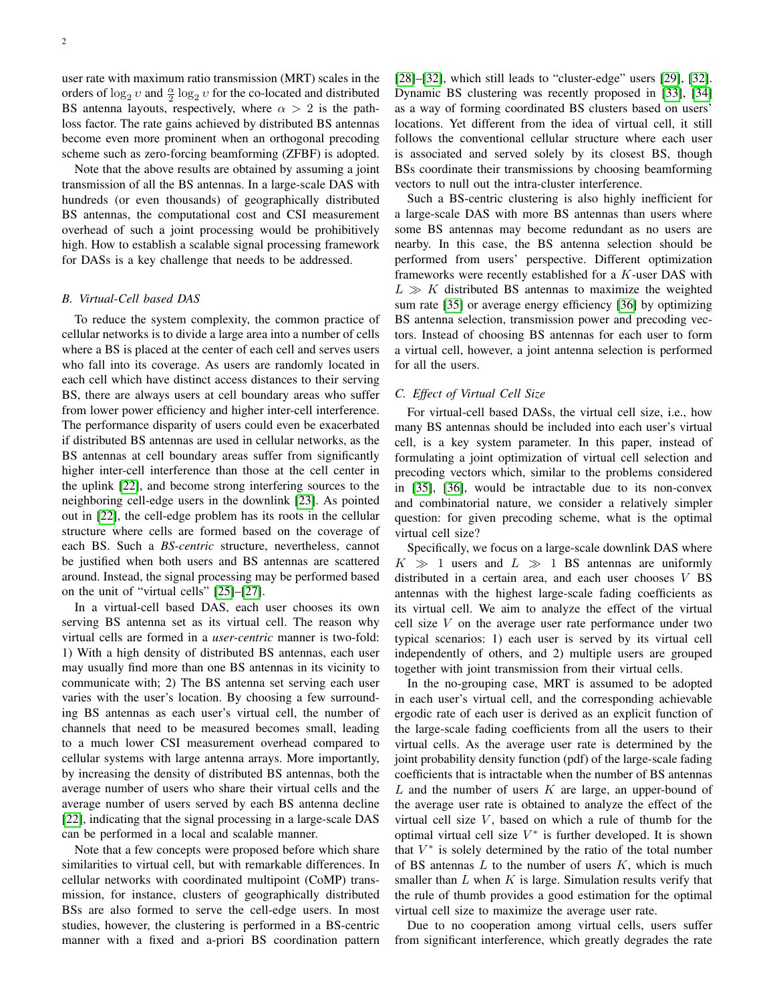user rate with maximum ratio transmission (MRT) scales in the orders of  $\log_2 v$  and  $\frac{\alpha}{2} \log_2 v$  for the co-located and distributed BS antenna layouts, respectively, where  $\alpha > 2$  is the pathloss factor. The rate gains achieved by distributed BS antennas become even more prominent when an orthogonal precoding scheme such as zero-forcing beamforming (ZFBF) is adopted.

Note that the above results are obtained by assuming a joint transmission of all the BS antennas. In a large-scale DAS with hundreds (or even thousands) of geographically distributed BS antennas, the computational cost and CSI measurement overhead of such a joint processing would be prohibitively high. How to establish a scalable signal processing framework for DASs is a key challenge that needs to be addressed.

## *B. Virtual-Cell based DAS*

To reduce the system complexity, the common practice of cellular networks is to divide a large area into a number of cells where a BS is placed at the center of each cell and serves users who fall into its coverage. As users are randomly located in each cell which have distinct access distances to their serving BS, there are always users at cell boundary areas who suffer from lower power efficiency and higher inter-cell interference. The performance disparity of users could even be exacerbated if distributed BS antennas are used in cellular networks, as the BS antennas at cell boundary areas suffer from significantly higher inter-cell interference than those at the cell center in the uplink [\[22\]](#page-13-0), and become strong interfering sources to the neighboring cell-edge users in the downlink [\[23\]](#page-13-2). As pointed out in [\[22\]](#page-13-0), the cell-edge problem has its roots in the cellular structure where cells are formed based on the coverage of each BS. Such a *BS-centric* structure, nevertheless, cannot be justified when both users and BS antennas are scattered around. Instead, the signal processing may be performed based on the unit of "virtual cells" [\[25\]](#page-13-3)–[\[27\]](#page-13-4).

In a virtual-cell based DAS, each user chooses its own serving BS antenna set as its virtual cell. The reason why virtual cells are formed in a *user-centric* manner is two-fold: 1) With a high density of distributed BS antennas, each user may usually find more than one BS antennas in its vicinity to communicate with; 2) The BS antenna set serving each user varies with the user's location. By choosing a few surrounding BS antennas as each user's virtual cell, the number of channels that need to be measured becomes small, leading to a much lower CSI measurement overhead compared to cellular systems with large antenna arrays. More importantly, by increasing the density of distributed BS antennas, both the average number of users who share their virtual cells and the average number of users served by each BS antenna decline [\[22\]](#page-13-0), indicating that the signal processing in a large-scale DAS can be performed in a local and scalable manner.

Note that a few concepts were proposed before which share similarities to virtual cell, but with remarkable differences. In cellular networks with coordinated multipoint (CoMP) transmission, for instance, clusters of geographically distributed BSs are also formed to serve the cell-edge users. In most studies, however, the clustering is performed in a BS-centric manner with a fixed and a-priori BS coordination pattern [\[28\]](#page-13-5)–[\[32\]](#page-13-6), which still leads to "cluster-edge" users [\[29\]](#page-13-7), [32]. Dynamic BS clustering was recently proposed in [\[33\]](#page-13-8), [\[34\]](#page-13-9) as a way of forming coordinated BS clusters based on users' locations. Yet different from the idea of virtual cell, it still follows the conventional cellular structure where each user is associated and served solely by its closest BS, though BSs coordinate their transmissions by choosing beamforming vectors to null out the intra-cluster interference.

Such a BS-centric clustering is also highly inefficient for a large-scale DAS with more BS antennas than users where some BS antennas may become redundant as no users are nearby. In this case, the BS antenna selection should be performed from users' perspective. Different optimization frameworks were recently established for a K-user DAS with  $L \gg K$  distributed BS antennas to maximize the weighted sum rate [\[35\]](#page-13-10) or average energy efficiency [\[36\]](#page-13-11) by optimizing BS antenna selection, transmission power and precoding vectors. Instead of choosing BS antennas for each user to form a virtual cell, however, a joint antenna selection is performed for all the users.

#### *C. Effect of Virtual Cell Size*

For virtual-cell based DASs, the virtual cell size, i.e., how many BS antennas should be included into each user's virtual cell, is a key system parameter. In this paper, instead of formulating a joint optimization of virtual cell selection and precoding vectors which, similar to the problems considered in [\[35\]](#page-13-10), [\[36\]](#page-13-11), would be intractable due to its non-convex and combinatorial nature, we consider a relatively simpler question: for given precoding scheme, what is the optimal virtual cell size?

Specifically, we focus on a large-scale downlink DAS where  $K \gg 1$  users and  $L \gg 1$  BS antennas are uniformly distributed in a certain area, and each user chooses  $V$  BS antennas with the highest large-scale fading coefficients as its virtual cell. We aim to analyze the effect of the virtual cell size  $V$  on the average user rate performance under two typical scenarios: 1) each user is served by its virtual cell independently of others, and 2) multiple users are grouped together with joint transmission from their virtual cells.

In the no-grouping case, MRT is assumed to be adopted in each user's virtual cell, and the corresponding achievable ergodic rate of each user is derived as an explicit function of the large-scale fading coefficients from all the users to their virtual cells. As the average user rate is determined by the joint probability density function (pdf) of the large-scale fading coefficients that is intractable when the number of BS antennas  $L$  and the number of users  $K$  are large, an upper-bound of the average user rate is obtained to analyze the effect of the virtual cell size  $V$ , based on which a rule of thumb for the optimal virtual cell size  $V^*$  is further developed. It is shown that  $V^*$  is solely determined by the ratio of the total number of BS antennas  $L$  to the number of users  $K$ , which is much smaller than  $L$  when  $K$  is large. Simulation results verify that the rule of thumb provides a good estimation for the optimal virtual cell size to maximize the average user rate.

Due to no cooperation among virtual cells, users suffer from significant interference, which greatly degrades the rate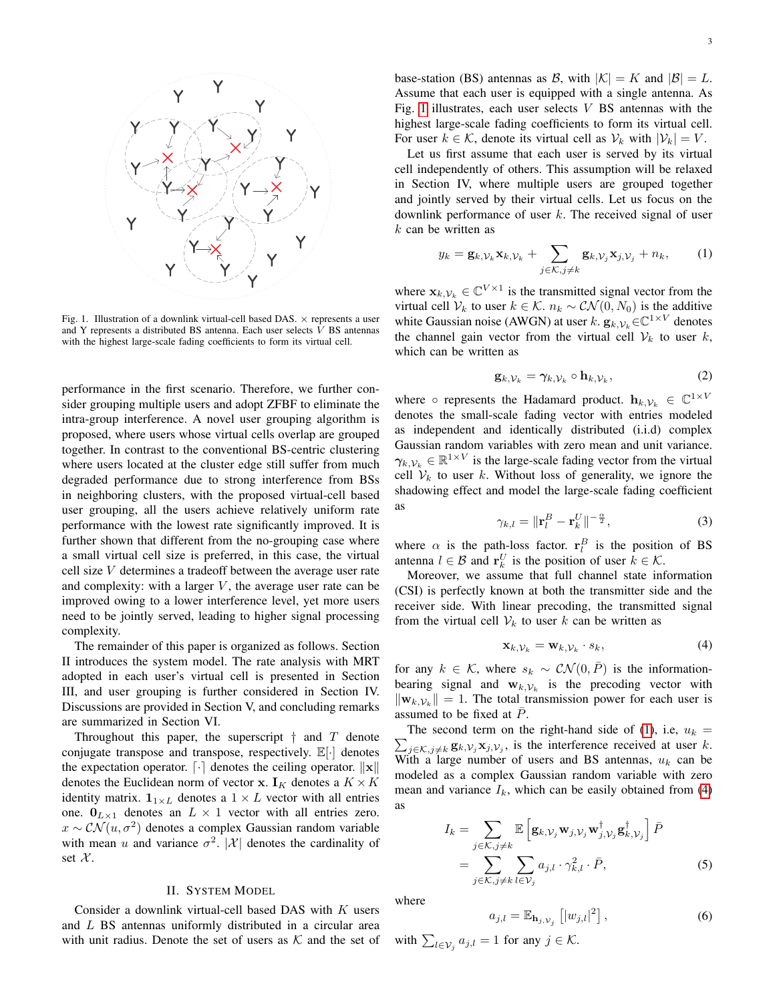

Fig. 1. Illustration of a downlink virtual-cell based DAS.  $\times$  represents a user and Y represents a distributed BS antenna. Each user selects V BS antennas with the highest large-scale fading coefficients to form its virtual cell.

performance in the first scenario. Therefore, we further consider grouping multiple users and adopt ZFBF to eliminate the intra-group interference. A novel user grouping algorithm is proposed, where users whose virtual cells overlap are grouped together. In contrast to the conventional BS-centric clustering where users located at the cluster edge still suffer from much degraded performance due to strong interference from BSs in neighboring clusters, with the proposed virtual-cell based user grouping, all the users achieve relatively uniform rate performance with the lowest rate significantly improved. It is further shown that different from the no-grouping case where a small virtual cell size is preferred, in this case, the virtual cell size V determines a tradeoff between the average user rate and complexity: with a larger  $V$ , the average user rate can be improved owing to a lower interference level, yet more users need to be jointly served, leading to higher signal processing complexity.

The remainder of this paper is organized as follows. Section II introduces the system model. The rate analysis with MRT adopted in each user's virtual cell is presented in Section III, and user grouping is further considered in Section IV. Discussions are provided in Section V, and concluding remarks are summarized in Section VI.

Throughout this paper, the superscript  $\dagger$  and  $T$  denote conjugate transpose and transpose, respectively. E[·] denotes the expectation operator.  $\lceil \cdot \rceil$  denotes the ceiling operator.  $\lVert \mathbf{x} \rVert$ denotes the Euclidean norm of vector x.  $I_K$  denotes a  $K \times K$ identity matrix.  $\mathbf{1}_{1 \times L}$  denotes a  $1 \times L$  vector with all entries one.  $0_{L\times 1}$  denotes an  $L \times 1$  vector with all entries zero.  $x \sim \mathcal{CN}(u, \sigma^2)$  denotes a complex Gaussian random variable with mean u and variance  $\sigma^2$ . |X| denotes the cardinality of set  $\mathcal{X}$ .

## II. SYSTEM MODEL

Consider a downlink virtual-cell based DAS with K users and L BS antennas uniformly distributed in a circular area with unit radius. Denote the set of users as  $K$  and the set of base-station (BS) antennas as B, with  $|K| = K$  and  $|B| = L$ . Assume that each user is equipped with a single antenna. As Fig. [1](#page-2-0) illustrates, each user selects  $V$  BS antennas with the highest large-scale fading coefficients to form its virtual cell. For user  $k \in \mathcal{K}$ , denote its virtual cell as  $\mathcal{V}_k$  with  $|\mathcal{V}_k| = V$ .

Let us first assume that each user is served by its virtual cell independently of others. This assumption will be relaxed in Section IV, where multiple users are grouped together and jointly served by their virtual cells. Let us focus on the downlink performance of user  $k$ . The received signal of user  $k$  can be written as

<span id="page-2-1"></span>
$$
y_k = \mathbf{g}_{k,\mathcal{V}_k} \mathbf{x}_{k,\mathcal{V}_k} + \sum_{j \in \mathcal{K}, j \neq k} \mathbf{g}_{k,\mathcal{V}_j} \mathbf{x}_{j,\mathcal{V}_j} + n_k, \qquad (1)
$$

<span id="page-2-0"></span>where  $\mathbf{x}_{k, \mathcal{V}_k} \in \mathbb{C}^{V \times 1}$  is the transmitted signal vector from the virtual cell  $V_k$  to user  $k \in \mathcal{K}$ .  $n_k \sim \mathcal{CN}(0, N_0)$  is the additive white Gaussian noise (AWGN) at user k.  $\mathbf{g}_{k, \mathcal{V}_k} \in \mathbb{C}^{1 \times V}$  denotes the channel gain vector from the virtual cell  $V_k$  to user k, which can be written as

$$
\mathbf{g}_{k,\mathcal{V}_k} = \gamma_{k,\mathcal{V}_k} \circ \mathbf{h}_{k,\mathcal{V}_k},\tag{2}
$$

where  $\circ$  represents the Hadamard product.  $\mathbf{h}_{k, \mathcal{V}_k} \in \mathbb{C}^{1 \times V}$ denotes the small-scale fading vector with entries modeled as independent and identically distributed (i.i.d) complex Gaussian random variables with zero mean and unit variance.  $\gamma_{k,\mathcal{V}_k} \in \mathbb{R}^{1 \times V}$  is the large-scale fading vector from the virtual cell  $V_k$  to user k. Without loss of generality, we ignore the shadowing effect and model the large-scale fading coefficient as

<span id="page-2-4"></span>
$$
\gamma_{k,l} = \|\mathbf{r}_l^B - \mathbf{r}_k^U\|^{-\frac{\alpha}{2}},\tag{3}
$$

where  $\alpha$  is the path-loss factor.  $\mathbf{r}_l^B$  is the position of BS antenna  $l \in \mathcal{B}$  and  $\mathbf{r}_k^U$  is the position of user  $k \in \mathcal{K}$ .

Moreover, we assume that full channel state information (CSI) is perfectly known at both the transmitter side and the receiver side. With linear precoding, the transmitted signal from the virtual cell  $V_k$  to user k can be written as

<span id="page-2-2"></span>
$$
\mathbf{x}_{k,\mathcal{V}_k} = \mathbf{w}_{k,\mathcal{V}_k} \cdot s_k,\tag{4}
$$

for any  $k \in \mathcal{K}$ , where  $s_k \sim \mathcal{CN}(0,\bar{P})$  is the informationbearing signal and  $w_{k, \mathcal{V}_k}$  is the precoding vector with  $\|\mathbf{w}_{k, \mathcal{V}_k}\| = 1$ . The total transmission power for each user is assumed to be fixed at  $P$ .

 $\sum_{j \in \mathcal{K}, j \neq k} \mathbf{g}_{k, \mathcal{V}_j} \mathbf{x}_{j, \mathcal{V}_j}$ , is the interference received at user k. The second term on the right-hand side of [\(1\)](#page-2-1), i.e,  $u_k =$ With a large number of users and BS antennas,  $u_k$  can be modeled as a complex Gaussian random variable with zero mean and variance  $I_k$ , which can be easily obtained from [\(4\)](#page-2-2) as

$$
I_k = \sum_{j \in \mathcal{K}, j \neq k} \mathbb{E} \left[ \mathbf{g}_{k, \mathcal{V}_j} \mathbf{w}_{j, \mathcal{V}_j} \mathbf{w}_{j, \mathcal{V}_j}^{\dagger} \mathbf{g}_{k, \mathcal{V}_j}^{\dagger} \right] \bar{P}
$$
  
= 
$$
\sum_{j \in \mathcal{K}, j \neq k} \sum_{l \in \mathcal{V}_j} a_{j,l} \cdot \gamma_{k,l}^2 \cdot \bar{P},
$$
 (5)

where

<span id="page-2-5"></span><span id="page-2-3"></span>
$$
a_{j,l} = \mathbb{E}_{\mathbf{h}_{j,\mathcal{V}_j}}\left[|w_{j,l}|^2\right],\tag{6}
$$

with  $\sum_{l \in \mathcal{V}_j} a_{j,l} = 1$  for any  $j \in \mathcal{K}$ .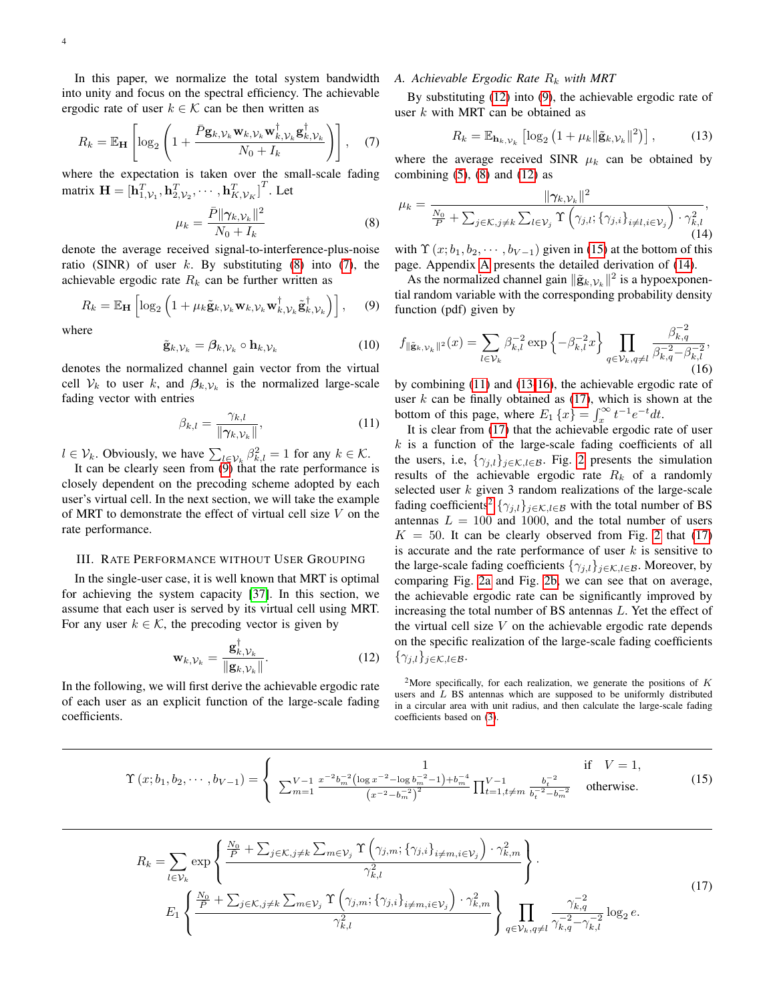In this paper, we normalize the total system bandwidth into unity and focus on the spectral efficiency. The achievable ergodic rate of user  $k \in \mathcal{K}$  can be then written as

<span id="page-3-1"></span>
$$
R_k = \mathbb{E}_{\mathbf{H}} \left[ \log_2 \left( 1 + \frac{\bar{P} \mathbf{g}_{k, \mathcal{V}_k} \mathbf{w}_{k, \mathcal{V}_k} \mathbf{w}_{k, \mathcal{V}_k}^{\dagger} \mathbf{g}_{k, \mathcal{V}_k}^{\dagger}}{N_0 + I_k} \right) \right], \quad (7)
$$

where the expectation is taken over the small-scale fading matrix  $\mathbf{H} = [\mathbf{h}_{1,\mathcal{V}_1}^T, \mathbf{h}_{2,\mathcal{V}_2}^T, \cdots, \mathbf{h}_{K,\mathcal{V}_K}^T]^T$ . Let

<span id="page-3-0"></span>
$$
\mu_k = \frac{\bar{P} \|\gamma_{k,\mathcal{V}_k}\|^2}{N_0 + I_k} \tag{8}
$$

denote the average received signal-to-interference-plus-noise ratio (SINR) of user  $k$ . By substituting [\(8\)](#page-3-0) into [\(7\)](#page-3-1), the achievable ergodic rate  $R_k$  can be further written as

<span id="page-3-2"></span>
$$
R_k = \mathbb{E}_{\mathbf{H}} \left[ \log_2 \left( 1 + \mu_k \tilde{\mathbf{g}}_{k, \mathcal{V}_k} \mathbf{w}_{k, \mathcal{V}_k} \mathbf{w}_{k, \mathcal{V}_k}^{\dagger} \tilde{\mathbf{g}}_{k, \mathcal{V}_k}^{\dagger} \right) \right], \quad (9)
$$

where

$$
\tilde{\mathbf{g}}_{k,\mathcal{V}_k} = \boldsymbol{\beta}_{k,\mathcal{V}_k} \circ \mathbf{h}_{k,\mathcal{V}_k} \tag{10}
$$

denotes the normalized channel gain vector from the virtual cell  $V_k$  to user k, and  $\beta_{k,V_k}$  is the normalized large-scale fading vector with entries

<span id="page-3-6"></span>
$$
\beta_{k,l} = \frac{\gamma_{k,l}}{\|\gamma_{k,\mathcal{V}_k}\|},\tag{11}
$$

 $l \in \mathcal{V}_k$ . Obviously, we have  $\sum_{l \in \mathcal{V}_k} \beta_{k,l}^2 = 1$  for any  $k \in \mathcal{K}$ .

It can be clearly seen from  $(9)$  that the rate performance is closely dependent on the precoding scheme adopted by each user's virtual cell. In the next section, we will take the example of MRT to demonstrate the effect of virtual cell size V on the rate performance.

#### III. RATE PERFORMANCE WITHOUT USER GROUPING

In the single-user case, it is well known that MRT is optimal for achieving the system capacity [\[37\]](#page-13-12). In this section, we assume that each user is served by its virtual cell using MRT. For any user  $k \in \mathcal{K}$ , the precoding vector is given by

<span id="page-3-3"></span>
$$
\mathbf{w}_{k,\mathcal{V}_k} = \frac{\mathbf{g}_{k,\mathcal{V}_k}^{\dagger}}{\|\mathbf{g}_{k,\mathcal{V}_k}\|}.
$$
 (12)

In the following, we will first derive the achievable ergodic rate of each user as an explicit function of the large-scale fading coefficients.

#### *A. Achievable Ergodic Rate*  $R_k$  *with MRT*

By substituting [\(12\)](#page-3-3) into [\(9\)](#page-3-2), the achievable ergodic rate of user  $k$  with MRT can be obtained as

<span id="page-3-7"></span>
$$
R_k = \mathbb{E}_{\mathbf{h}_k, \mathcal{V}_k} \left[ \log_2 \left( 1 + \mu_k \| \tilde{\mathbf{g}}_{k, \mathcal{V}_k} \|^2 \right) \right],\tag{13}
$$

where the average received SINR  $\mu_k$  can be obtained by combining  $(5)$ ,  $(8)$  and  $(12)$  as

<span id="page-3-5"></span>
$$
\mu_k = \frac{\|\gamma_{k,\mathcal{V}_k}\|^2}{\frac{N_0}{P} + \sum_{j \in \mathcal{K}, j \neq k} \sum_{l \in \mathcal{V}_j} \Upsilon\left(\gamma_{j,l}; \{\gamma_{j,i}\}_{i \neq l, i \in \mathcal{V}_j}\right) \cdot \gamma_{k,l}^2},\tag{14}
$$

with  $\Upsilon(x; b_1, b_2, \dots, b_{V-1})$  given in [\(15\)](#page-3-4) at the bottom of this page. Appendix [A](#page-10-0) presents the detailed derivation of [\(14\)](#page-3-5).

As the normalized channel gain  $\|\tilde{\mathbf{g}}_{k,\mathcal{V}_k}\|^2$  is a hypoexponential random variable with the corresponding probability density function (pdf) given by

<span id="page-3-8"></span>
$$
f_{\|\tilde{\mathbf{g}}_{k,\mathcal{V}_k}\|^2}(x) = \sum_{l \in \mathcal{V}_k} \beta_{k,l}^{-2} \exp\left\{-\beta_{k,l}^{-2} x\right\} \prod_{q \in \mathcal{V}_k, q \neq l} \frac{\beta_{k,q}^{-2}}{\beta_{k,q}^{-2} - \beta_{k,l}^{-2}},\tag{16}
$$

by combining [\(11\)](#page-3-6) and [\(13-](#page-3-7)[16\)](#page-3-8), the achievable ergodic rate of user  $k$  can be finally obtained as  $(17)$ , which is shown at the bottom of this page, where  $E_1\{x\} = \int_x^{\infty} t^{-1}e^{-t}dt$ .

It is clear from [\(17\)](#page-3-9) that the achievable ergodic rate of user  $k$  is a function of the large-scale fading coefficients of all the users, i.e,  $\{\gamma_{j,l}\}_{j \in \mathcal{K}, l \in \mathcal{B}}$ . Fig. [2](#page-4-0) presents the simulation results of the achievable ergodic rate  $R_k$  of a randomly selected user  $k$  given 3 random realizations of the large-scale fading coefficients<sup>[2](#page-3-10)</sup>  $\{\gamma_{j,l}\}_{j \in \mathcal{K}, l \in \mathcal{B}}$  with the total number of BS antennas  $L = 100$  and 1000, and the total number of users  $K = 50$ . It can be clearly observed from Fig. [2](#page-4-0) that [\(17\)](#page-3-9) is accurate and the rate performance of user  $k$  is sensitive to the large-scale fading coefficients  $\{\gamma_{i,l}\}_{i \in \mathcal{K}, l \in \mathcal{B}}$ . Moreover, by comparing Fig. [2a](#page-4-1) and Fig. [2b,](#page-4-2) we can see that on average, the achievable ergodic rate can be significantly improved by increasing the total number of BS antennas L. Yet the effect of the virtual cell size  $V$  on the achievable ergodic rate depends on the specific realization of the large-scale fading coefficients  $\{\gamma_{j,l}\}_{j\in\mathcal{K},l\in\mathcal{B}}$ .

<span id="page-3-10"></span><span id="page-3-4"></span><sup>2</sup>More specifically, for each realization, we generate the positions of  $K$ users and  $L$  BS antennas which are supposed to be uniformly distributed in a circular area with unit radius, and then calculate the large-scale fading coefficients based on [\(3\)](#page-2-4).

$$
\Upsilon(x;b_1,b_2,\cdots,b_{V-1}) = \begin{cases} 1 & \text{if } V = 1, \\ \sum_{m=1}^{V-1} \frac{x^{-2}b_m^{-2}(\log x^{-2} - \log b_m^{-2} - 1) + b_m^{-4}}{(x^{-2} - b_m^{-2})^2} \prod_{t=1, t \neq m}^{V-1} \frac{b_t^{-2}}{b_t^{-2} - b_m^{-2}} & \text{otherwise.} \end{cases}
$$
(15)

<span id="page-3-9"></span>
$$
R_{k} = \sum_{l \in \mathcal{V}_{k}} \exp\left\{\frac{\frac{N_{0}}{P} + \sum_{j \in \mathcal{K}, j \neq k} \sum_{m \in \mathcal{V}_{j}} \Upsilon(\gamma_{j,m}; \{\gamma_{j,i}\}_{i \neq m, i \in \mathcal{V}_{j}}) \cdot \gamma_{k,m}^{2}}{\gamma_{k,l}^{2}}\right\}.
$$
\n
$$
E_{1}\left\{\frac{\frac{N_{0}}{P} + \sum_{j \in \mathcal{K}, j \neq k} \sum_{m \in \mathcal{V}_{j}} \Upsilon(\gamma_{j,m}; \{\gamma_{j,i}\}_{i \neq m, i \in \mathcal{V}_{j}}) \cdot \gamma_{k,m}^{2}}{\gamma_{k,l}^{2}}\right\} \prod_{q \in \mathcal{V}_{k}, q \neq l} \frac{\gamma_{k,q}^{-2}}{\gamma_{k,q}^{-2} - \gamma_{k,l}^{-2}} \log_{2} e.
$$
\n(17)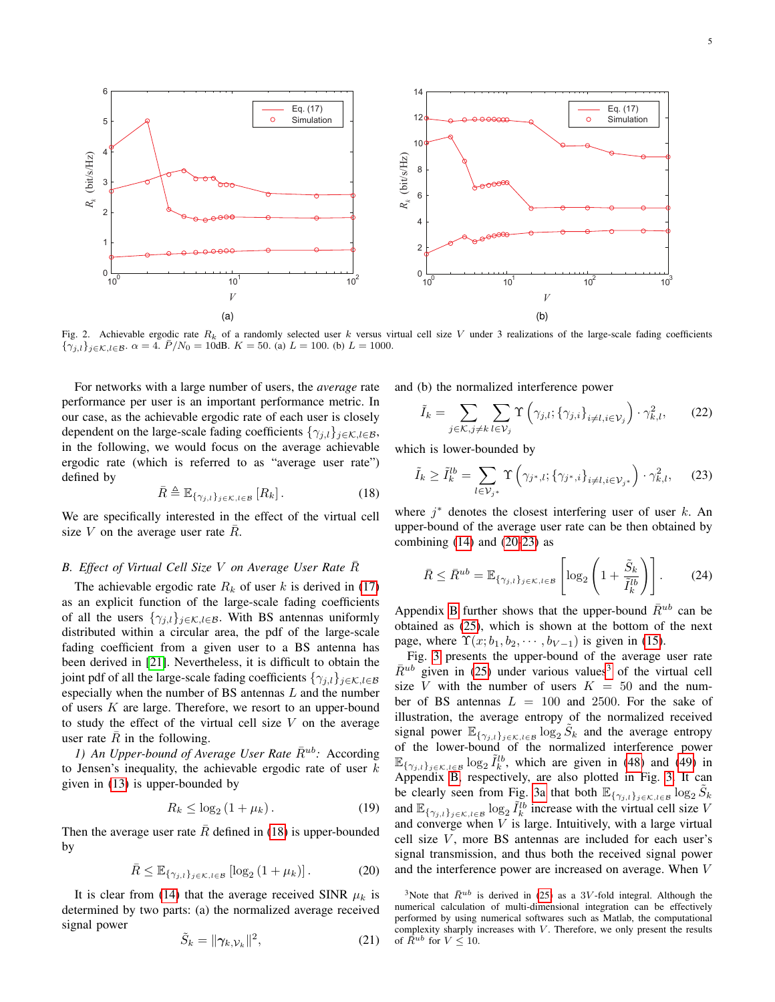<span id="page-4-1"></span>

Fig. 2. Achievable ergodic rate  $R_k$  of a randomly selected user k versus virtual cell size V under 3 realizations of the large-scale fading coefficients  ${\gamma_{j,l}}_{j \in K, l \in \mathcal{B}}$ .  $\alpha = 4$ .  $\bar{P}/N_0 = 10$ dB.  $K = 50$ . (a)  $L = 100$ . (b)  $L = 1000$ .

For networks with a large number of users, the *average* rate performance per user is an important performance metric. In our case, as the achievable ergodic rate of each user is closely dependent on the large-scale fading coefficients  $\{\gamma_{i,l}\}_{i\in\mathcal{K},l\in\mathcal{B}}$ , in the following, we would focus on the average achievable ergodic rate (which is referred to as "average user rate") defined by

<span id="page-4-3"></span>
$$
\bar{R} \triangleq \mathbb{E}_{\{\gamma_{j,l}\}_{j \in \mathcal{K}, l \in \mathcal{B}}}[R_k].
$$
 (18)

We are specifically interested in the effect of the virtual cell size V on the average user rate  $\overline{R}$ .

#### *B. Effect of Virtual Cell Size* V *on Average User Rate* R¯

The achievable ergodic rate  $R_k$  of user k is derived in [\(17\)](#page-3-9) as an explicit function of the large-scale fading coefficients of all the users  $\{\gamma_{j,l}\}_{j \in \mathcal{K}, l \in \mathcal{B}}$ . With BS antennas uniformly distributed within a circular area, the pdf of the large-scale fading coefficient from a given user to a BS antenna has been derived in [\[21\]](#page-12-10). Nevertheless, it is difficult to obtain the joint pdf of all the large-scale fading coefficients  $\{\gamma_{j,l}\}_{j\in\mathcal{K},l\in\mathcal{B}}$ especially when the number of BS antennas L and the number of users  $K$  are large. Therefore, we resort to an upper-bound to study the effect of the virtual cell size  $V$  on the average user rate  $\overline{R}$  in the following.

*1)* An Upper-bound of Average User Rate  $\bar{R}^{ub}$ : According to Jensen's inequality, the achievable ergodic rate of user  $k$ given in [\(13\)](#page-3-7) is upper-bounded by

$$
R_k \le \log_2 \left( 1 + \mu_k \right). \tag{19}
$$

Then the average user rate  $\overline{R}$  defined in [\(18\)](#page-4-3) is upper-bounded by

$$
\bar{R} \leq \mathbb{E}_{\{\gamma_{j,l}\}_{j \in \mathcal{K}, l \in \mathcal{B}}}\left[\log_2\left(1 + \mu_k\right)\right].\tag{20}
$$

It is clear from [\(14\)](#page-3-5) that the average received SINR  $\mu_k$  is determined by two parts: (a) the normalized average received signal power

 $\frac{1}{2}$ 

$$
\tilde{S}_k = \|\gamma_{k,\mathcal{V}_k}\|^2,\tag{21}
$$

<span id="page-4-2"></span>and (b) the normalized interference power

<span id="page-4-0"></span>
$$
\tilde{I}_k = \sum_{j \in \mathcal{K}, j \neq k} \sum_{l \in \mathcal{V}_j} \Upsilon \left( \gamma_{j,l}; \{ \gamma_{j,i} \}_{i \neq l, i \in \mathcal{V}_j} \right) \cdot \gamma_{k,l}^2, \tag{22}
$$

which is lower-bounded by

<span id="page-4-5"></span>
$$
\tilde{I}_k \ge \tilde{I}_k^{lb} = \sum_{l \in \mathcal{V}_{j^*}} \Upsilon \left( \gamma_{j^*,l}; \{ \gamma_{j^*,i} \}_{i \ne l, i \in \mathcal{V}_{j^*}} \right) \cdot \gamma_{k,l}^2, \tag{23}
$$

where  $j^*$  denotes the closest interfering user of user  $k$ . An upper-bound of the average user rate can be then obtained by combining  $(14)$  and  $(20-23)$  $(20-23)$  as

<span id="page-4-7"></span>
$$
\bar{R} \le \bar{R}^{ub} = \mathbb{E}_{\{\gamma_{j,l}\}_{j \in \mathcal{K}, l \in \mathcal{B}}} \left[ \log_2 \left( 1 + \frac{\tilde{S}_k}{\tilde{I}_k^{lb}} \right) \right].
$$
 (24)

Appendix [B](#page-10-1) further shows that the upper-bound  $\bar{R}^{ub}$  can be obtained as [\(25\)](#page-5-0), which is shown at the bottom of the next page, where  $\Upsilon(x; b_1, b_2, \dots, b_{V-1})$  is given in [\(15\)](#page-3-4).

Fig. [3](#page-5-1) presents the upper-bound of the average user rate  $\bar{R}^{ub}$  given in [\(25\)](#page-5-0) under various values<sup>[3](#page-4-6)</sup> of the virtual cell size V with the number of users  $K = 50$  and the number of BS antennas  $L = 100$  and 2500. For the sake of illustration, the average entropy of the normalized received signal power  $\mathbb{E}_{\{\gamma_{j,l}\}_{j\in\mathcal{K},l\in\mathcal{B}}}\log_2\tilde{S}_k$  and the average entropy of the lower-bound of the normalized interference power  $\mathbb{E}_{\{\gamma_{j,l}\}_{j\in\mathcal{K},l\in\mathcal{B}}}\log_2 \tilde{I}_k^{lb}$ , which are given in [\(48\)](#page-12-11) and [\(49\)](#page-12-12) in Appendix [B,](#page-10-1) respectively, are also plotted in Fig. [3.](#page-5-1) It can be clearly seen from Fig. [3a](#page-5-2) that both  $\mathbb{E}_{\{\gamma_{j,l}\}_{j\in\mathcal{K},l\in\mathcal{B}}}\log_2 \tilde{S}_k$ and  $\mathbb{E}_{\{\gamma_{j,l}\}_{j\in\mathcal{K},l\in\mathcal{B}}}\log_2 \tilde{I}_k^{lb}$  increase with the virtual cell size V and converge when  $V$  is large. Intuitively, with a large virtual cell size  $V$ , more BS antennas are included for each user's signal transmission, and thus both the received signal power and the interference power are increased on average. When V

<span id="page-4-6"></span><span id="page-4-4"></span><sup>3</sup>Note that  $\bar{R}^{ub}$  is derived in [\(25\)](#page-5-0) as a 3V-fold integral. Although the numerical calculation of multi-dimensional integration can be effectively performed by using numerical softwares such as Matlab, the computational complexity sharply increases with  $V$ . Therefore, we only present the results of  $\overline{R}^{ub}$  for  $V \leq 10$ .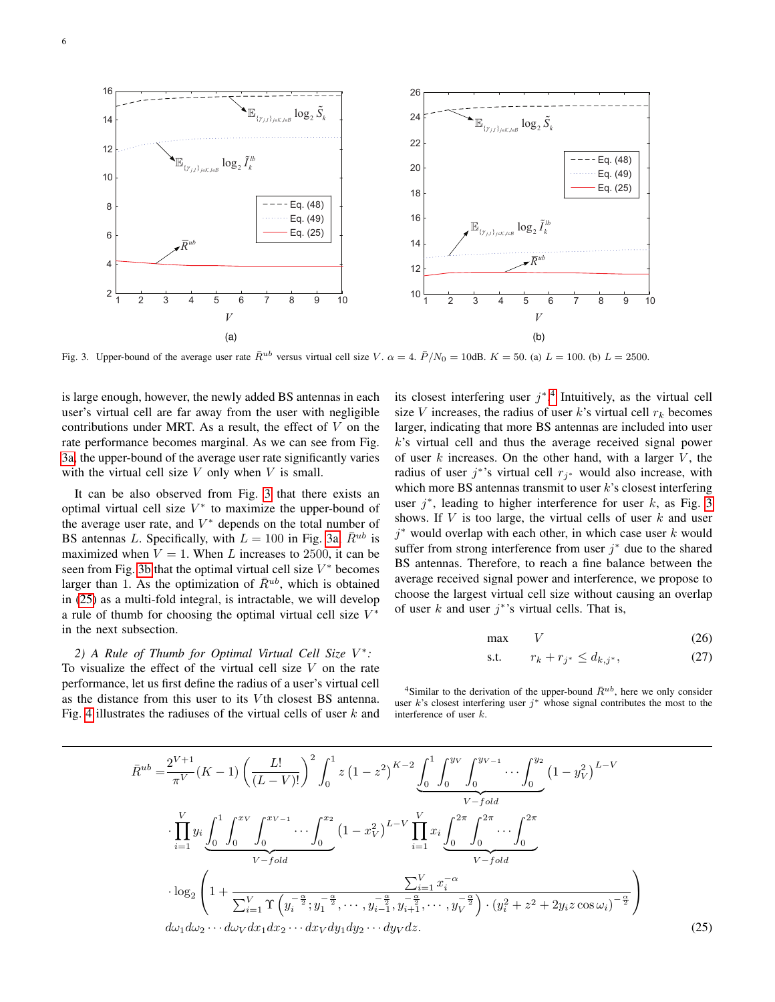<span id="page-5-2"></span>

Fig. 3. Upper-bound of the average user rate  $\bar{R}^{ub}$  versus virtual cell size V.  $\alpha = 4$ .  $\bar{P}/N_0 = 10$ dB.  $K = 50$ . (a)  $L = 100$ . (b)  $L = 2500$ .

is large enough, however, the newly added BS antennas in each user's virtual cell are far away from the user with negligible contributions under MRT. As a result, the effect of  $V$  on the rate performance becomes marginal. As we can see from Fig. [3a,](#page-5-2) the upper-bound of the average user rate significantly varies with the virtual cell size  $V$  only when  $V$  is small.

It can be also observed from Fig. [3](#page-5-1) that there exists an optimal virtual cell size  $V^*$  to maximize the upper-bound of the average user rate, and  $V^*$  depends on the total number of BS antennas L. Specifically, with  $L = 100$  in Fig. [3a,](#page-5-2)  $\bar{R}^{ub}$  is maximized when  $V = 1$ . When L increases to 2500, it can be seen from Fig. [3b](#page-5-3) that the optimal virtual cell size  $V^*$  becomes larger than 1. As the optimization of  $\bar{R}^{ub}$ , which is obtained in [\(25\)](#page-5-0) as a multi-fold integral, is intractable, we will develop a rule of thumb for choosing the optimal virtual cell size  $V^*$ in the next subsection.

*2) A Rule of Thumb for Optimal Virtual Cell Size* V ∗ *:* To visualize the effect of the virtual cell size  $V$  on the rate performance, let us first define the radius of a user's virtual cell as the distance from this user to its V<sup>th</sup> closest BS antenna. Fig. [4](#page-6-0) illustrates the radiuses of the virtual cells of user  $k$  and

<span id="page-5-3"></span><span id="page-5-1"></span>its closest interfering user  $j^*$ .<sup>[4](#page-5-4)</sup> Intuitively, as the virtual cell size V increases, the radius of user k's virtual cell  $r_k$  becomes larger, indicating that more BS antennas are included into user  $k$ 's virtual cell and thus the average received signal power of user  $k$  increases. On the other hand, with a larger  $V$ , the radius of user  $j^*$ 's virtual cell  $r_{j^*}$  would also increase, with which more BS antennas transmit to user  $k$ 's closest interfering user  $j^*$ , leading to higher interference for user  $k$ , as Fig. [3](#page-5-1) shows. If  $V$  is too large, the virtual cells of user  $k$  and user  $j^*$  would overlap with each other, in which case user  $k$  would suffer from strong interference from user  $j^*$  due to the shared BS antennas. Therefore, to reach a fine balance between the average received signal power and interference, we propose to choose the largest virtual cell size without causing an overlap of user  $k$  and user  $j^*$ 's virtual cells. That is,

<span id="page-5-5"></span>
$$
\max \qquad V \tag{26}
$$

<span id="page-5-0"></span>s.t. 
$$
r_k + r_{j^*} \leq d_{k,j^*},
$$
 (27)

<span id="page-5-4"></span><sup>4</sup>Similar to the derivation of the upper-bound  $\bar{R}^{ub}$ , here we only consider user  $k$ 's closest interfering user  $j^*$  whose signal contributes the most to the interference of user k.

$$
\bar{R}^{ub} = \frac{2^{V+1}}{\pi^V} (K-1) \left( \frac{L!}{(L-V)!} \right)^2 \int_0^1 z \left(1-z^2\right)^{K-2} \underbrace{\int_0^1 \int_0^{y_V} \int_0^{y_{V-1}} \cdots \int_0^{y_2}}_{V-fold} \left(1-y_V^2\right)^{L-V} \cdot \prod_{i=1}^V y_i \underbrace{\int_0^1 \int_0^{x_V} \int_0^{x_{V-1}} \cdots \int_0^{x_2}}_{V-fold} \left(1-x_V^2\right)^{L-V} \prod_{i=1}^V x_i \underbrace{\int_0^{2\pi} \int_0^{2\pi} \cdots \int_0^{2\pi}}_{V-fold} \cdot \frac{\sum_{i=1}^V x_i^{-\alpha}}{V-fold} \cdot \frac{\sum_{i=1}^V x_i^{-\alpha}}{V-fold} \cdot \frac{\sum_{i=1}^V x_i^{-\alpha}}{W} \cdot \left(1+\frac{\sum_{i=1}^V x_i^{-\alpha}}{\sum_{i=1}^V x_i^{-\alpha} (y_i^{-\frac{\alpha}{2}}; y_1^{-\frac{\alpha}{2}}; \cdots, y_{i-1}^{-\frac{\alpha}{2}}; y_{i+1}^{-\frac{\alpha}{2}}; \cdots, y_V^{-\frac{\alpha}{2}})} \cdot \left(y_i^2 + z^2 + 2y_i z \cos \omega_i\right)^{-\frac{\alpha}{2}} \cdot \frac{\left(25\right)^{V}}{\left(25\right)^{V}} \cdot \frac{\left(25\right)^{V}}{\left(25\right)^{V}}.
$$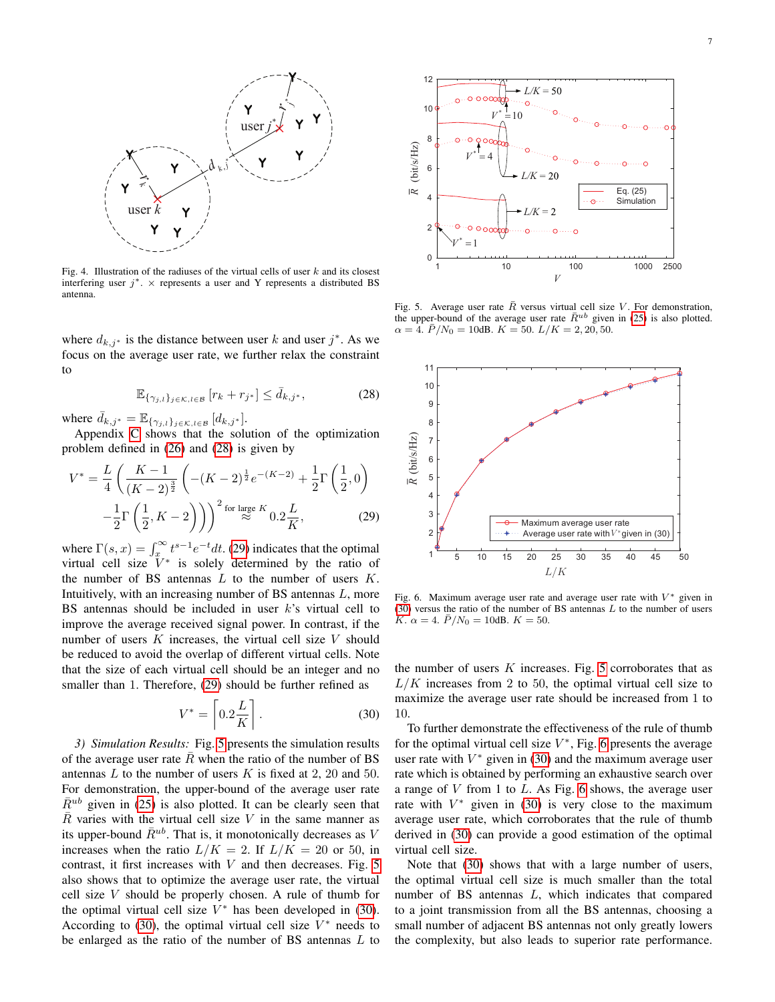

Fig. 4. Illustration of the radiuses of the virtual cells of user  $k$  and its closest interfering user  $j^*$ .  $\times$  represents a user and Y represents a distributed BS antenna.

where  $d_{k,j^*}$  is the distance between user k and user  $j^*$ . As we focus on the average user rate, we further relax the constraint to

$$
\mathbb{E}_{\{\gamma_{j,l}\}_{j\in\mathcal{K},l\in\mathcal{B}}}\left[r_k+r_{j^*}\right] \leq \bar{d}_{k,j^*},\tag{28}
$$

where  $\bar{d}_{k,j^*} = \mathbb{E}_{\{\gamma_{j,l}\}_{j \in \mathcal{K}, l \in \mathcal{B}}}\left[d_{k,j^*}\right]$ .

Appendix [C](#page-11-0) shows that the solution of the optimization problem defined in [\(26\)](#page-5-5) and [\(28\)](#page-6-1) is given by

$$
V^* = \frac{L}{4} \left( \frac{K-1}{(K-2)^{\frac{3}{2}}} \left( -(K-2)^{\frac{1}{2}} e^{-(K-2)} + \frac{1}{2} \Gamma\left(\frac{1}{2}, 0\right) - \frac{1}{2} \Gamma\left(\frac{1}{2}, K-2\right) \right) \right)^2 \text{ for large } K 0.2 \frac{L}{K},\tag{29}
$$

where  $\Gamma(s, x) = \int_x^{\infty} t^{s-1} e^{-t} dt$ . [\(29\)](#page-6-2) indicates that the optimal virtual cell size  $V^*$  is solely determined by the ratio of the number of BS antennas  $L$  to the number of users  $K$ . Intuitively, with an increasing number of BS antennas L, more BS antennas should be included in user  $k$ 's virtual cell to improve the average received signal power. In contrast, if the number of users  $K$  increases, the virtual cell size  $V$  should be reduced to avoid the overlap of different virtual cells. Note that the size of each virtual cell should be an integer and no smaller than 1. Therefore, [\(29\)](#page-6-2) should be further refined as

$$
V^* = \left[0.2 \frac{L}{K}\right].\tag{30}
$$

*3) Simulation Results:* Fig. [5](#page-6-3) presents the simulation results of the average user rate  $\overline{R}$  when the ratio of the number of BS antennas  $L$  to the number of users  $K$  is fixed at 2, 20 and 50. For demonstration, the upper-bound of the average user rate  $\bar{R}^{ub}$  given in [\(25\)](#page-5-0) is also plotted. It can be clearly seen that  $\overline{R}$  varies with the virtual cell size V in the same manner as its upper-bound  $\bar{R}^{ub}$ . That is, it monotonically decreases as V increases when the ratio  $L/K = 2$ . If  $L/K = 20$  or 50, in contrast, it first increases with  $V$  and then decreases. Fig. [5](#page-6-3) also shows that to optimize the average user rate, the virtual cell size V should be properly chosen. A rule of thumb for the optimal virtual cell size  $V^*$  has been developed in [\(30\)](#page-6-4). According to [\(30\)](#page-6-4), the optimal virtual cell size  $V^*$  needs to Be solutions of the initial cell of the view of the minimal cell of the ratio of the number of BS and the ratio of the number of BS and the number of BS and the ratio of the number of BS and the number of BS and the numbe



<span id="page-6-3"></span><span id="page-6-0"></span>Fig. 5. Average user rate  $\bar{R}$  versus virtual cell size V. For demonstration, the upper-bound of the average user rate  $\bar{R}^{ub}$  given in [\(25\)](#page-5-0) is also plotted.  $\alpha = 4. \ \bar{P}/N_0 = 10$ dB.  $K = 50. \ L/K = 2, 20, 50.$ 

<span id="page-6-1"></span>

<span id="page-6-5"></span><span id="page-6-2"></span>Fig. 6. Maximum average user rate and average user rate with  $V^*$  given in  $(30)$  versus the ratio of the number of BS antennas L to the number of users K.  $\alpha = 4$ .  $\bar{P}/N_0 = 10$ dB.  $K = 50$ .

the number of users  $K$  increases. Fig. [5](#page-6-3) corroborates that as  $L/K$  increases from 2 to 50, the optimal virtual cell size to maximize the average user rate should be increased from 1 to 10.

<span id="page-6-4"></span>To further demonstrate the effectiveness of the rule of thumb for the optimal virtual cell size  $V^*$ , Fig. [6](#page-6-5) presents the average user rate with  $V^*$  given in [\(30\)](#page-6-4) and the maximum average user rate which is obtained by performing an exhaustive search over a range of  $V$  from 1 to  $L$ . As Fig. [6](#page-6-5) shows, the average user rate with  $V^*$  given in [\(30\)](#page-6-4) is very close to the maximum average user rate, which corroborates that the rule of thumb derived in [\(30\)](#page-6-4) can provide a good estimation of the optimal virtual cell size.

Note that [\(30\)](#page-6-4) shows that with a large number of users, the optimal virtual cell size is much smaller than the total number of BS antennas L, which indicates that compared to a joint transmission from all the BS antennas, choosing a small number of adjacent BS antennas not only greatly lowers the complexity, but also leads to superior rate performance.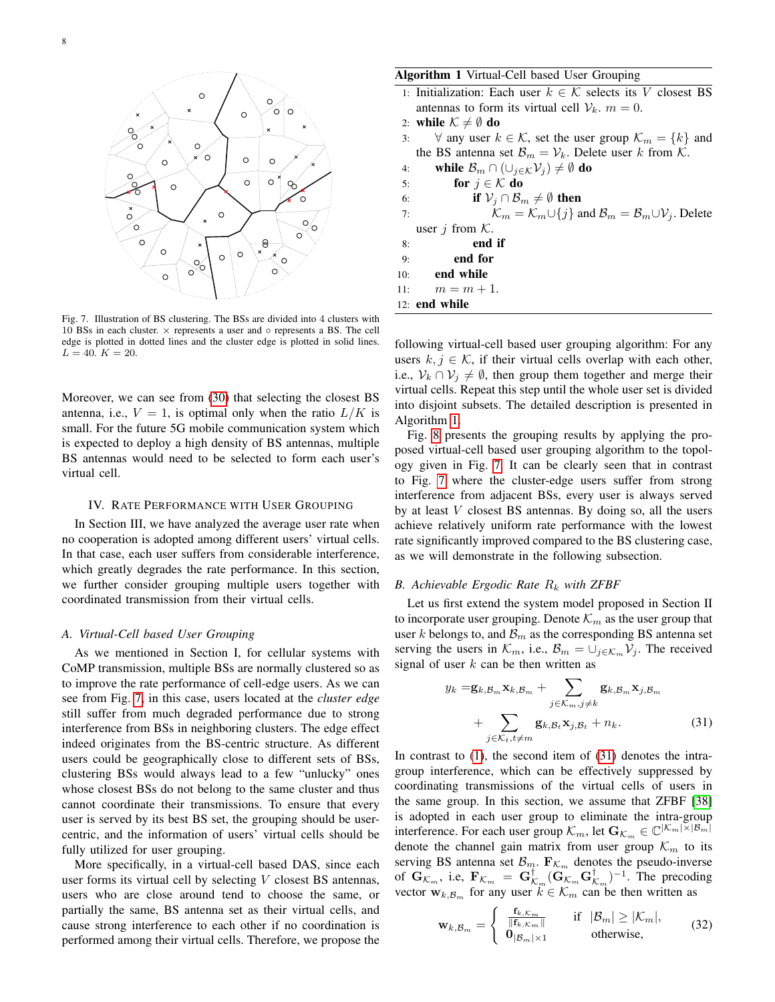

Fig. 7. Illustration of BS clustering. The BSs are divided into 4 clusters with 10 BSs in each cluster.  $\times$  represents a user and  $\circ$  represents a BS. The cell edge is plotted in dotted lines and the cluster edge is plotted in solid lines.  $L = 40$ .  $K = 20$ .

Moreover, we can see from [\(30\)](#page-6-4) that selecting the closest BS antenna, i.e.,  $V = 1$ , is optimal only when the ratio  $L/K$  is small. For the future 5G mobile communication system which is expected to deploy a high density of BS antennas, multiple BS antennas would need to be selected to form each user's virtual cell.

## IV. RATE PERFORMANCE WITH USER GROUPING

In Section III, we have analyzed the average user rate when no cooperation is adopted among different users' virtual cells. In that case, each user suffers from considerable interference, which greatly degrades the rate performance. In this section, we further consider grouping multiple users together with coordinated transmission from their virtual cells.

## *A. Virtual-Cell based User Grouping*

As we mentioned in Section I, for cellular systems with CoMP transmission, multiple BSs are normally clustered so as to improve the rate performance of cell-edge users. As we can see from Fig. [7,](#page-7-0) in this case, users located at the *cluster edge* still suffer from much degraded performance due to strong interference from BSs in neighboring clusters. The edge effect indeed originates from the BS-centric structure. As different users could be geographically close to different sets of BSs, clustering BSs would always lead to a few "unlucky" ones whose closest BSs do not belong to the same cluster and thus cannot coordinate their transmissions. To ensure that every user is served by its best BS set, the grouping should be usercentric, and the information of users' virtual cells should be fully utilized for user grouping.

More specifically, in a virtual-cell based DAS, since each user forms its virtual cell by selecting  $V$  closest BS antennas, users who are close around tend to choose the same, or partially the same, BS antenna set as their virtual cells, and cause strong interference to each other if no coordination is performed among their virtual cells. Therefore, we propose the

## Algorithm 1 Virtual-Cell based User Grouping

<span id="page-7-1"></span>

|     | 1: Initialization: Each user $k \in \mathcal{K}$ selects its V closest BS                                  |
|-----|------------------------------------------------------------------------------------------------------------|
|     | antennas to form its virtual cell $V_k$ . $m = 0$ .                                                        |
|     | 2: while $K \neq \emptyset$ do                                                                             |
| 3:  | $\forall$ any user $k \in \mathcal{K}$ , set the user group $\mathcal{K}_m = \{k\}$ and                    |
|     | the BS antenna set $\mathcal{B}_m = \mathcal{V}_k$ . Delete user k from K.                                 |
| 4:  | while $\mathcal{B}_m \cap (\cup_{j \in \mathcal{K}} \mathcal{V}_j) \neq \emptyset$ do                      |
|     | for $j \in \mathcal{K}$ do<br>5:                                                                           |
| 6:  | if $V_i \cap B_m \neq \emptyset$ then                                                                      |
| 7:  | $\mathcal{K}_m = \mathcal{K}_m \cup \{j\}$ and $\mathcal{B}_m = \mathcal{B}_m \cup \mathcal{V}_j$ . Delete |
|     | user $j$ from $K$ .                                                                                        |
| 8:  | end if                                                                                                     |
| 9:  | end for                                                                                                    |
| 10: | end while                                                                                                  |
| 11: | $m = m + 1.$                                                                                               |
|     | 12: <b>end while</b>                                                                                       |

<span id="page-7-0"></span>following virtual-cell based user grouping algorithm: For any users  $k, j \in \mathcal{K}$ , if their virtual cells overlap with each other, i.e.,  $V_k \cap V_j \neq \emptyset$ , then group them together and merge their virtual cells. Repeat this step until the whole user set is divided into disjoint subsets. The detailed description is presented in Algorithm [1.](#page-7-1)

Fig. [8](#page-8-0) presents the grouping results by applying the proposed virtual-cell based user grouping algorithm to the topology given in Fig. [7.](#page-7-0) It can be clearly seen that in contrast to Fig. [7](#page-7-0) where the cluster-edge users suffer from strong interference from adjacent BSs, every user is always served by at least V closest BS antennas. By doing so, all the users achieve relatively uniform rate performance with the lowest rate significantly improved compared to the BS clustering case, as we will demonstrate in the following subsection.

# *B. Achievable Ergodic Rate*  $R_k$  *with ZFBF*

Let us first extend the system model proposed in Section II to incorporate user grouping. Denote  $\mathcal{K}_m$  as the user group that user k belongs to, and  $\mathcal{B}_m$  as the corresponding BS antenna set serving the users in  $\mathcal{K}_m$ , i.e.,  $\mathcal{B}_m = \bigcup_{j \in \mathcal{K}_m} \mathcal{V}_j$ . The received signal of user  $k$  can be then written as

<span id="page-7-2"></span>
$$
y_k = \mathbf{g}_{k,\mathcal{B}_m} \mathbf{x}_{k,\mathcal{B}_m} + \sum_{j \in \mathcal{K}_m, j \neq k} \mathbf{g}_{k,\mathcal{B}_m} \mathbf{x}_{j,\mathcal{B}_m}
$$

$$
+ \sum_{j \in \mathcal{K}_t, t \neq m} \mathbf{g}_{k,\mathcal{B}_t} \mathbf{x}_{j,\mathcal{B}_t} + n_k. \tag{31}
$$

In contrast to  $(1)$ , the second item of  $(31)$  denotes the intragroup interference, which can be effectively suppressed by coordinating transmissions of the virtual cells of users in the same group. In this section, we assume that ZFBF [\[38\]](#page-13-13) is adopted in each user group to eliminate the intra-group interference. For each user group  $\mathcal{K}_m$ , let  $\mathbf{G}_{\mathcal{K}_m} \in \mathbb{C}^{|\mathcal{K}_m| \times |\mathcal{B}_m|}$ denote the channel gain matrix from user group  $\mathcal{K}_m$  to its serving BS antenna set  $\mathcal{B}_m$ .  $\mathbf{F}_{\mathcal{K}_m}$  denotes the pseudo-inverse of  $\mathbf{G}_{\mathcal{K}_m}$ , i.e,  $\mathbf{F}_{\mathcal{K}_m} = \mathbf{G}_{\mathcal{K}_m}^{\dagger} (\widetilde{\mathbf{G}}_{\mathcal{K}_m} \mathbf{G}_{\mathcal{K}_m}^{\dagger})^{-1}$ . The precoding vector  $w_{k,\mathcal{B}_m}$  for any user  $k \in \mathcal{K}_m$  can be then written as

<span id="page-7-3"></span>
$$
\mathbf{w}_{k,\mathcal{B}_m} = \begin{cases} \frac{\mathbf{f}_{k,\mathcal{K}_m}}{\|\mathbf{f}_{k,\mathcal{K}_m}\|} & \text{if } |\mathcal{B}_m| \geq |\mathcal{K}_m|, \\ \mathbf{0}_{|\mathcal{B}_m| \times 1} & \text{otherwise,} \end{cases}
$$
(32)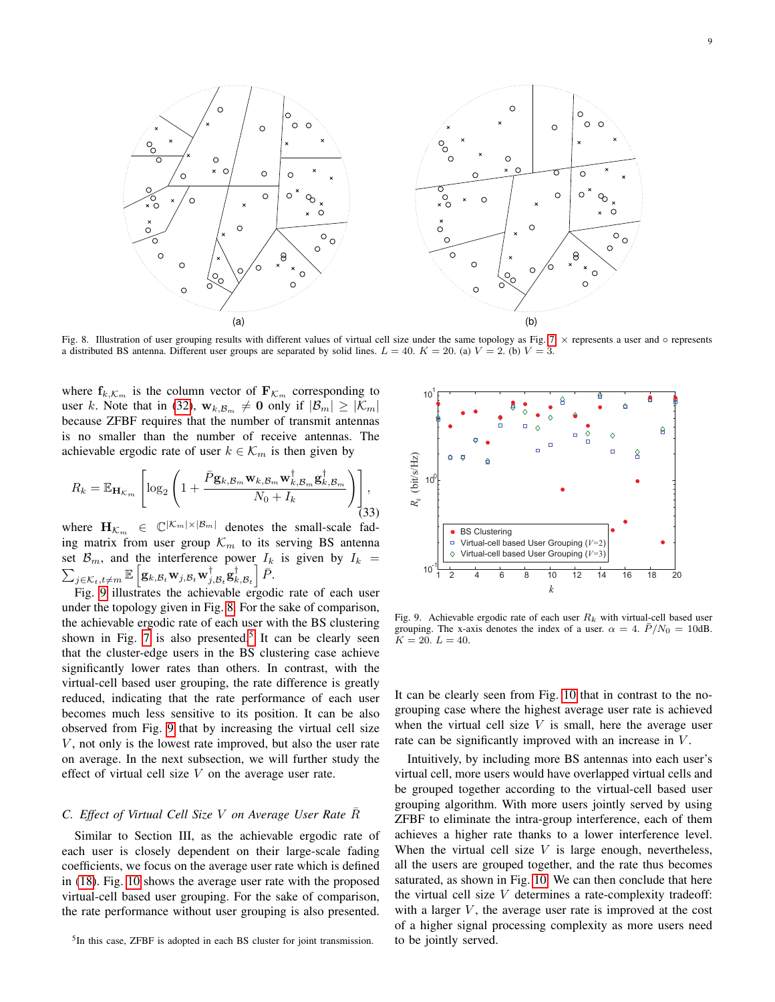

Fig. 8. Illustration of user grouping results with different values of virtual cell size under the same topology as Fig. [7.](#page-7-0) × represents a user and ◦ represents a distributed BS antenna. Different user groups are separated by solid lines.  $L = 40$ .  $K = 20$ . (a)  $V = 2$ . (b)  $V = 3$ .

where  $f_{k,\mathcal{K}_m}$  is the column vector of  $\mathbf{F}_{\mathcal{K}_m}$  corresponding to user k. Note that in [\(32\)](#page-7-3),  $\mathbf{w}_{k,\mathcal{B}_m} \neq \mathbf{0}$  only if  $|\mathcal{B}_m| \geq |\mathcal{K}_m|$ because ZFBF requires that the number of transmit antennas is no smaller than the number of receive antennas. The achievable ergodic rate of user  $k \in \mathcal{K}_m$  is then given by

$$
R_k = \mathbb{E}_{\mathbf{H}_{\mathcal{K}_m}} \left[ \log_2 \left( 1 + \frac{\bar{P} \mathbf{g}_{k,\mathcal{B}_m} \mathbf{w}_{k,\mathcal{B}_m} \mathbf{w}_{k,\mathcal{B}_m}^{\dagger} \mathbf{g}_{k,\mathcal{B}_m}^{\dagger}}{N_0 + I_k} \right) \right],
$$
\n(33)

where  $\mathbf{H}_{\mathcal{K}_m} \in \mathbb{C}^{|\mathcal{K}_m| \times |\mathcal{B}_m|}$  denotes the small-scale fading matrix from user group  $\mathcal{K}_m$  to its serving BS antenna set  $\mathcal{B}_m$ , and the interference power  $I_k$  is given by  $I_k =$  $\sum_{j \in \mathcal{K}_t, t \neq m} \mathbb{E} \left[ \mathbf{g}_{k,\mathcal{B}_t} \mathbf{w}_{j,\mathcal{B}_t} \mathbf{w}_{j,\mathcal{B}_t}^{\dagger} \mathbf{g}_{k,\mathcal{B}_t}^{\dagger} \right] \bar{P}.$ 

Fig. [9](#page-8-1) illustrates the achievable ergodic rate of each user under the topology given in Fig. [8.](#page-8-0) For the sake of comparison, the achievable ergodic rate of each user with the BS clustering shown in Fig. [7](#page-7-0) is also presented.<sup>[5](#page-8-2)</sup> It can be clearly seen that the cluster-edge users in the BS clustering case achieve significantly lower rates than others. In contrast, with the virtual-cell based user grouping, the rate difference is greatly reduced, indicating that the rate performance of each user becomes much less sensitive to its position. It can be also observed from Fig. [9](#page-8-1) that by increasing the virtual cell size  $V$ , not only is the lowest rate improved, but also the user rate on average. In the next subsection, we will further study the effect of virtual cell size  $V$  on the average user rate.  $j \in K_1, t \neq m$  E  $[g_k, g, w_j, g, w_j^{\dagger}, g, g_{k_i, B_i}^{\dagger}]$  *P.*<br>
Fig. 9 illustrates the achievable ergodic rate of each user<br>
ther the topology given in Fig. 8. For the sake of comparison,<br>
achievable ergodic rate of each user w

# *C. Effect of Virtual Cell Size* V *on Average User Rate* R¯

Similar to Section III, as the achievable ergodic rate of each user is closely dependent on their large-scale fading coefficients, we focus on the average user rate which is defined in [\(18\)](#page-4-3). Fig. [10](#page-9-0) shows the average user rate with the proposed virtual-cell based user grouping. For the sake of comparison, the rate performance without user grouping is also presented.

<span id="page-8-0"></span>

<span id="page-8-1"></span>Fig. 9. Achievable ergodic rate of each user  $R_k$  with virtual-cell based user grouping. The x-axis denotes the index of a user.  $\alpha = 4$ .  $\bar{P}/N_0 = 10$ dB.  $K = 20$ ,  $L = 40$ .

It can be clearly seen from Fig. [10](#page-9-0) that in contrast to the nogrouping case where the highest average user rate is achieved when the virtual cell size  $V$  is small, here the average user rate can be significantly improved with an increase in V.

Intuitively, by including more BS antennas into each user's virtual cell, more users would have overlapped virtual cells and be grouped together according to the virtual-cell based user grouping algorithm. With more users jointly served by using ZFBF to eliminate the intra-group interference, each of them achieves a higher rate thanks to a lower interference level. When the virtual cell size  $V$  is large enough, nevertheless, all the users are grouped together, and the rate thus becomes saturated, as shown in Fig. [10.](#page-9-0) We can then conclude that here the virtual cell size  $V$  determines a rate-complexity tradeoff: with a larger  $V$ , the average user rate is improved at the cost of a higher signal processing complexity as more users need to be jointly served.

<span id="page-8-2"></span><sup>&</sup>lt;sup>5</sup>In this case, ZFBF is adopted in each BS cluster for joint transmission.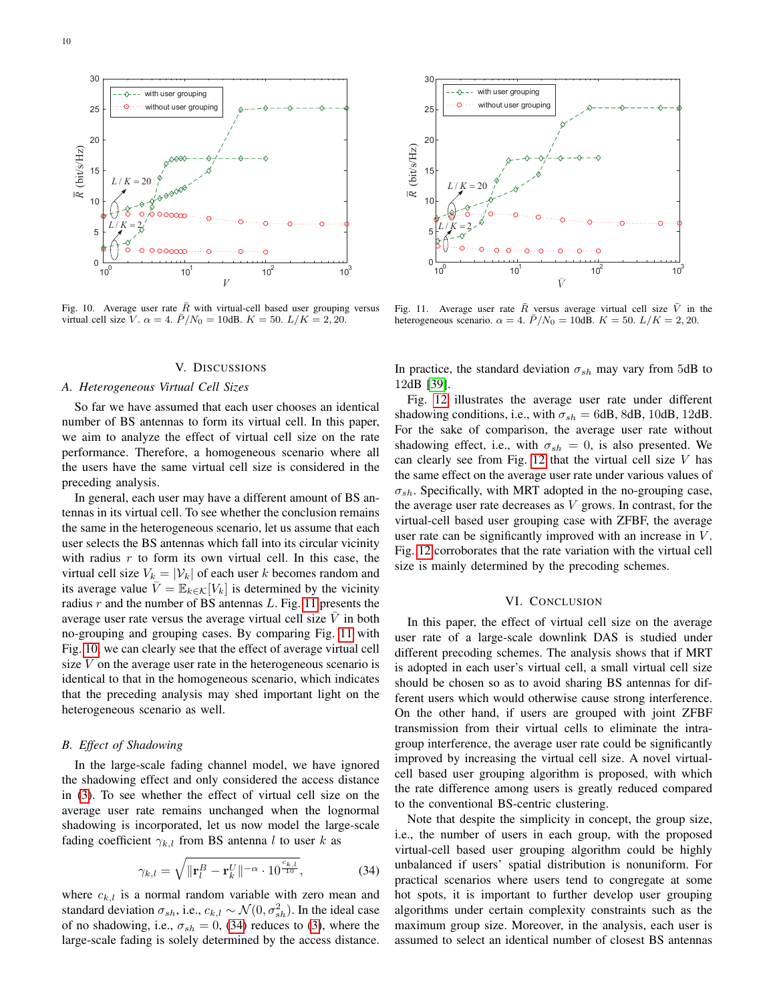

Fig. 10. Average user rate  $\bar{R}$  with virtual-cell based user grouping versus virtual cell size V.  $\alpha = 4$ .  $\bar{P}/N_0 = 10$ dB.  $K = 50$ .  $L/K = 2, 20$ .

# V. DISCUSSIONS

## *A. Heterogeneous Virtual Cell Sizes*

So far we have assumed that each user chooses an identical number of BS antennas to form its virtual cell. In this paper, we aim to analyze the effect of virtual cell size on the rate performance. Therefore, a homogeneous scenario where all the users have the same virtual cell size is considered in the preceding analysis.

In general, each user may have a different amount of BS antennas in its virtual cell. To see whether the conclusion remains the same in the heterogeneous scenario, let us assume that each user selects the BS antennas which fall into its circular vicinity with radius  $r$  to form its own virtual cell. In this case, the virtual cell size  $V_k = |\mathcal{V}_k|$  of each user k becomes random and its average value  $\overline{V} = \mathbb{E}_{k \in \mathcal{K}}[V_k]$  is determined by the vicinity radius  $r$  and the number of BS antennas  $L$ . Fig. [11](#page-9-1) presents the average user rate versus the average virtual cell size  $\bar{V}$  in both no-grouping and grouping cases. By comparing Fig. [11](#page-9-1) with Fig. [10,](#page-9-0) we can clearly see that the effect of average virtual cell size  $V$  on the average user rate in the heterogeneous scenario is identical to that in the homogeneous scenario, which indicates that the preceding analysis may shed important light on the heterogeneous scenario as well.

# *B. Effect of Shadowing*

In the large-scale fading channel model, we have ignored the shadowing effect and only considered the access distance in [\(3\)](#page-2-4). To see whether the effect of virtual cell size on the average user rate remains unchanged when the lognormal shadowing is incorporated, let us now model the large-scale fading coefficient  $\gamma_{k,l}$  from BS antenna l to user k as

$$
\gamma_{k,l} = \sqrt{\|\mathbf{r}_l^B - \mathbf{r}_k^U\|^{-\alpha} \cdot 10^{\frac{c_{k,l}}{10}}},\tag{34}
$$

where  $c_{k,l}$  is a normal random variable with zero mean and standard deviation  $\sigma_{sh}$ , i.e.,  $c_{k,l} \sim \mathcal{N}(0, \sigma_{sh}^2)$ . In the ideal case of no shadowing, i.e.,  $\sigma_{sh} = 0$ , [\(34\)](#page-9-2) reduces to [\(3\)](#page-2-4), where the large-scale fading is solely determined by the access distance.



<span id="page-9-1"></span><span id="page-9-0"></span>Fig. 11. Average user rate  $\overline{R}$  versus average virtual cell size  $\overline{V}$  in the heterogeneous scenario.  $\alpha = 4$ .  $\bar{P}/N_0 = 10$ dB.  $K = 50$ .  $L/K = 2, 20$ .

In practice, the standard deviation  $\sigma_{sh}$  may vary from 5dB to 12dB [\[39\]](#page-13-14).

Fig. [12](#page-10-2) illustrates the average user rate under different shadowing conditions, i.e., with  $\sigma_{sh} = 6$ dB, 8dB, 10dB, 12dB. For the sake of comparison, the average user rate without shadowing effect, i.e., with  $\sigma_{sh} = 0$ , is also presented. We can clearly see from Fig. [12](#page-10-2) that the virtual cell size  $V$  has the same effect on the average user rate under various values of  $\sigma_{sh}$ . Specifically, with MRT adopted in the no-grouping case, the average user rate decreases as  $V$  grows. In contrast, for the virtual-cell based user grouping case with ZFBF, the average user rate can be significantly improved with an increase in  $V$ . Fig. [12](#page-10-2) corroborates that the rate variation with the virtual cell size is mainly determined by the precoding schemes.

#### VI. CONCLUSION

In this paper, the effect of virtual cell size on the average user rate of a large-scale downlink DAS is studied under different precoding schemes. The analysis shows that if MRT is adopted in each user's virtual cell, a small virtual cell size should be chosen so as to avoid sharing BS antennas for different users which would otherwise cause strong interference. On the other hand, if users are grouped with joint ZFBF transmission from their virtual cells to eliminate the intragroup interference, the average user rate could be significantly improved by increasing the virtual cell size. A novel virtualcell based user grouping algorithm is proposed, with which the rate difference among users is greatly reduced compared to the conventional BS-centric clustering.

<span id="page-9-2"></span>Note that despite the simplicity in concept, the group size, i.e., the number of users in each group, with the proposed virtual-cell based user grouping algorithm could be highly unbalanced if users' spatial distribution is nonuniform. For practical scenarios where users tend to congregate at some hot spots, it is important to further develop user grouping algorithms under certain complexity constraints such as the maximum group size. Moreover, in the analysis, each user is assumed to select an identical number of closest BS antennas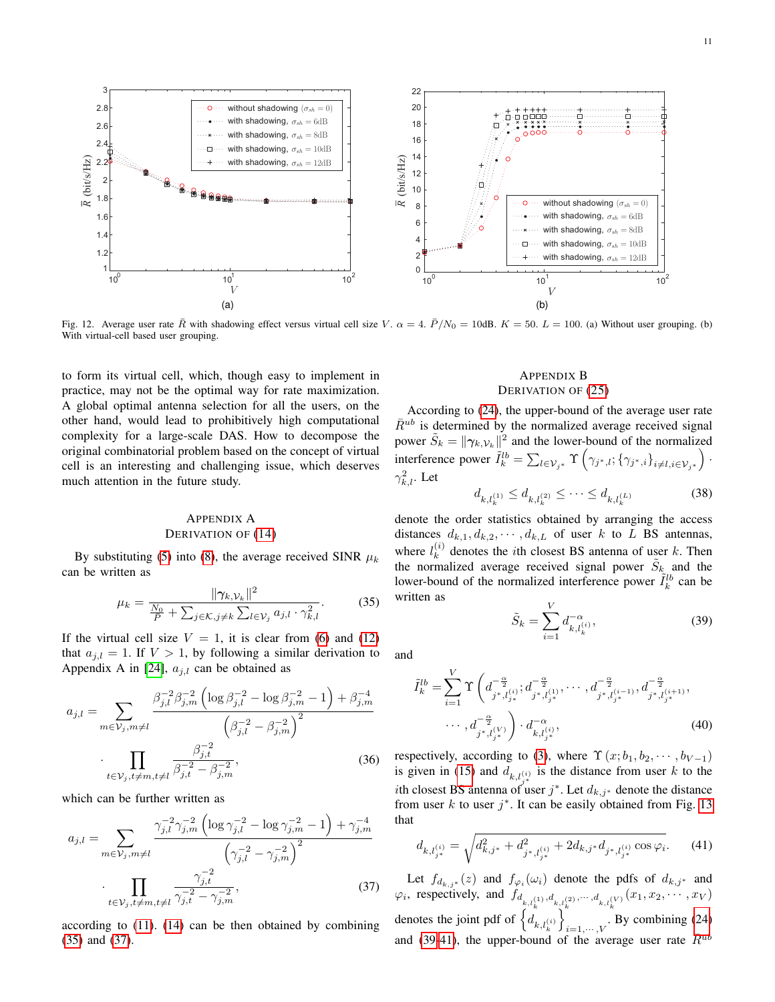

Fig. 12. Average user rate  $\overline{R}$  with shadowing effect versus virtual cell size V.  $\alpha = 4$ .  $\overline{P}/N_0 = 10$ dB.  $K = 50$ .  $L = 100$ . (a) Without user grouping. (b) With virtual-cell based user grouping.

to form its virtual cell, which, though easy to implement in practice, may not be the optimal way for rate maximization. A global optimal antenna selection for all the users, on the other hand, would lead to prohibitively high computational complexity for a large-scale DAS. How to decompose the original combinatorial problem based on the concept of virtual cell is an interesting and challenging issue, which deserves much attention in the future study.

# <span id="page-10-0"></span>APPENDIX A DERIVATION OF [\(14\)](#page-3-5)

By substituting [\(5\)](#page-2-3) into [\(8\)](#page-3-0), the average received SINR  $\mu_k$ can be written as

$$
\mu_k = \frac{\|\gamma_{k,\mathcal{V}_k}\|^2}{\frac{N_0}{P} + \sum_{j \in \mathcal{K}, j \neq k} \sum_{l \in \mathcal{V}_j} a_{j,l} \cdot \gamma_{k,l}^2}.
$$
(35)

If the virtual cell size  $V = 1$ , it is clear from [\(6\)](#page-2-5) and [\(12\)](#page-3-3) that  $a_{j,l} = 1$ . If  $V > 1$ , by following a similar derivation to Appendix A in [\[24\]](#page-13-1),  $a_{j,l}$  can be obtained as

$$
a_{j,l} = \sum_{m \in \mathcal{V}_j, m \neq l} \frac{\beta_{j,l}^{-2} \beta_{j,m}^{-2} \left( \log \beta_{j,l}^{-2} - \log \beta_{j,m}^{-2} - 1 \right) + \beta_{j,m}^{-4}}{\left( \beta_{j,l}^{-2} - \beta_{j,m}^{-2} \right)^2}
$$

$$
\cdot \prod_{t \in \mathcal{V}_j, t \neq m, t \neq l} \frac{\beta_{j,t}^{-2}}{\beta_{j,t}^{-2} - \beta_{j,m}^{-2}},
$$
(36)

which can be further written as

$$
a_{j,l} = \sum_{m \in \mathcal{V}_j, m \neq l} \frac{\gamma_{j,l}^{-2} \gamma_{j,m}^{-2} \left( \log \gamma_{j,l}^{-2} - \log \gamma_{j,m}^{-2} - 1 \right) + \gamma_{j,m}^{-4}}{\left( \gamma_{j,l}^{-2} - \gamma_{j,m}^{-2} \right)^2}
$$

$$
\cdot \prod_{t \in \mathcal{V}_j, t \neq m, t \neq l} \frac{\gamma_{j,t}^{-2}}{\gamma_{j,t}^{-2} - \gamma_{j,m}^{-2}},
$$
(37)

according to [\(11\)](#page-3-6). [\(14\)](#page-3-5) can be then obtained by combining [\(35\)](#page-10-3) and [\(37\)](#page-10-4).

# <span id="page-10-2"></span><span id="page-10-1"></span>APPENDIX B DERIVATION OF [\(25\)](#page-5-0)

According to [\(24\)](#page-4-7), the upper-bound of the average user rate  $\bar{R}^{ub}$  is determined by the normalized average received signal power  $\tilde{S}_k = ||\gamma_{k, V_k}||^2$  and the lower-bound of the normalized interference power  $\tilde{I}_{k}^{lb} = \sum_{l \in \mathcal{V}_{j^*}} \Upsilon \left( \gamma_{j^*,l}; \{\gamma_{j^*,i}\}_{i \neq l, i \in \mathcal{V}_{j^*}} \right)$ .  $\gamma_{k,l}^2$ . Let

$$
d_{k,l_k^{(1)}} \le d_{k,l_k^{(2)}} \le \dots \le d_{k,l_k^{(L)}} \tag{38}
$$

denote the order statistics obtained by arranging the access distances  $d_{k,1}, d_{k,2}, \cdots, d_{k,L}$  of user k to L BS antennas, where  $l_k^{(i)}$  $\kappa_k^{(i)}$  denotes the *i*th closest BS antenna of user k. Then the normalized average received signal power  $\tilde{S}_k$  and the lower-bound of the normalized interference power  $\tilde{I}_k^{lb}$  can be written as

<span id="page-10-5"></span>
$$
\tilde{S}_k = \sum_{i=1}^{V} d_{k,l_k^{(i)}}^{-\alpha},
$$
\n(39)

<span id="page-10-3"></span>and

$$
\tilde{I}_{k}^{lb} = \sum_{i=1}^{V} \Upsilon \left( d_{j^*,l_{j^*}}^{-\frac{\alpha}{2}}; d_{j^*,l_{j^*}}^{-\frac{\alpha}{2}}; \dots, d_{j^*,l_{j^*}}^{-\frac{\alpha}{2}}; d_{j^*,l_{j^*}}^{-\frac{\alpha}{2}}; \dots, d_{j^*,l_{j^*}}^{-\frac{\alpha}{2}}; \dots, d_{j^*,l_{j^*}}^{-\frac{\alpha}{2}}; \dots, d_{j^*,l_{j^*}}^{-\frac{\alpha}{2}} \right)
$$
\n
$$
\cdots, d_{j^*,l_{j^*}}^{-\frac{\alpha}{2}} \left( 40 \right)
$$

respectively, according to [\(3\)](#page-2-4), where  $\Upsilon(x; b_1, b_2, \dots, b_{V-1})$ is given in [\(15\)](#page-3-4) and  $d_{k,l_{s*}^{(i)}}$  is the distance from user k to the *i*th closest BS antenna of user j<sup>\*</sup>. Let  $d_{k,j^*}$  denote the distance from user  $k$  to user  $j^*$ . It can be easily obtained from Fig. [13](#page-11-1) that

<span id="page-10-6"></span>
$$
d_{k,l_{j^*}^{(i)}} = \sqrt{d_{k,j^*}^2 + d_{j^*,l_{j^*}^{(i)}}^2 + 2d_{k,j^*}d_{j^*,l_{j^*}^{(i)}}\cos\varphi_i}.
$$
 (41)

<span id="page-10-4"></span>Let  $f_{d_{k,j}*}(z)$  and  $f_{\varphi_i}(\omega_i)$  denote the pdfs of  $d_{k,j}*$  and  $\varphi_i$ , respectively, and  $f_{d_{k,l_k}(1), d_{k,l_k}(2)}, \dots, d_{k,l_k}(V)}(x_1, x_2, \dots, x_V)$ denotes the joint pdf of  $\left\{d_{k,l_k^{(i)}}\right\}$  $\mathcal{N}$  $\sum_{i=1,\dots,V}$ . By combining [\(24\)](#page-4-7) and [\(39](#page-10-5)[-41\)](#page-10-6), the upper-bound of the average user rate  $\bar{R}^{ub}$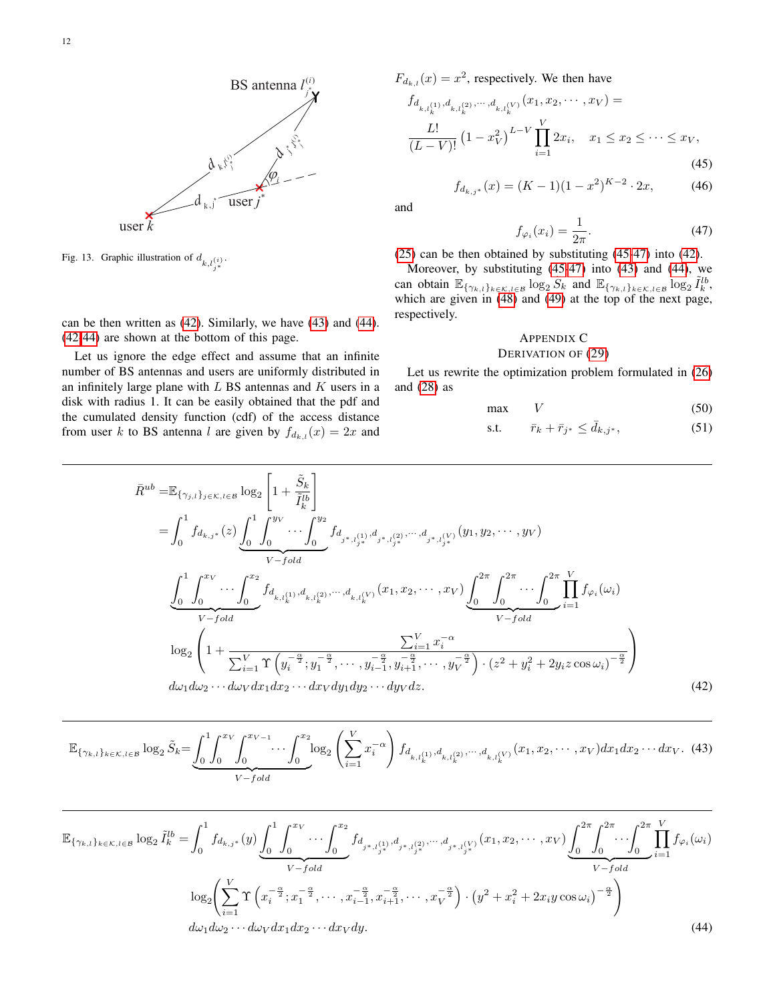

Fig. 13. Graphic illustration of  $d_{k,l_{j}^{(i)}}$ .

can be then written as [\(42\)](#page-11-2). Similarly, we have [\(43\)](#page-11-3) and [\(44\)](#page-11-4). [\(42-](#page-11-2)[44\)](#page-11-4) are shown at the bottom of this page.

Let us ignore the edge effect and assume that an infinite number of BS antennas and users are uniformly distributed in an infinitely large plane with  $L$  BS antennas and  $K$  users in a disk with radius 1. It can be easily obtained that the pdf and the cumulated density function (cdf) of the access distance from user k to BS antenna l are given by  $f_{d_{k,l}}(x) = 2x$  and  $F_{d_{k,l}}(x) = x^2$ , respectively. We then have

$$
f_{d_{k,l_k^{(1)}},d_{k,l_k^{(2)}},\cdots,d_{k,l_k^{(V)}}}(x_1,x_2,\cdots,x_V) = \frac{L!}{(L-V)!} \left(1 - x_V^2\right)^{L-V} \prod_{i=1}^V 2x_i, \quad x_1 \le x_2 \le \cdots \le x_V,
$$
\n(45)

<span id="page-11-9"></span>
$$
f_{d_{k,j^*}}(x) = (K-1)(1-x^2)^{K-2} \cdot 2x,\tag{46}
$$

<span id="page-11-1"></span>and

<span id="page-11-6"></span><span id="page-11-5"></span>
$$
f_{\varphi_i}(x_i) = \frac{1}{2\pi}.\tag{47}
$$

[\(25\)](#page-5-0) can be then obtained by substituting [\(45](#page-11-5)[-47\)](#page-11-6) into [\(42\)](#page-11-2).

Moreover, by substituting [\(45](#page-11-5)[-47\)](#page-11-6) into [\(43\)](#page-11-3) and [\(44\)](#page-11-4), we can obtain  $\mathbb{E}_{\{\gamma_{k,l}\}_{k \in \mathcal{K},l \in \mathcal{B}}} \log_2 \tilde{S}_k$  and  $\mathbb{E}_{\{\gamma_{k,l}\}_{k \in \mathcal{K},l \in \mathcal{B}}} \log_2 \tilde{I}_k^{lb}$ , which are given in [\(48\)](#page-12-11) and [\(49\)](#page-12-12) at the top of the next page, respectively.

# <span id="page-11-8"></span><span id="page-11-0"></span>APPENDIX C DERIVATION OF [\(29\)](#page-6-2)

Let us rewrite the optimization problem formulated in [\(26\)](#page-5-5) and [\(28\)](#page-6-1) as

<span id="page-11-7"></span>
$$
\max \qquad V \tag{50}
$$

<span id="page-11-4"></span><span id="page-11-3"></span><span id="page-11-2"></span>
$$
\text{s.t.} \qquad \bar{r}_k + \bar{r}_{j^*} \le \bar{d}_{k,j^*}, \tag{51}
$$

$$
\bar{R}^{ub} = \mathbb{E}_{\{\gamma_{j,l}\}_{j \in \mathcal{K}, l \in \mathcal{B}} \log_2 \left[ 1 + \frac{\tilde{S}_k}{\tilde{I}_k^{lb}} \right]
$$
\n
$$
= \int_0^1 f_{d_{k,j^*}}(z) \underbrace{\int_0^1 \int_0^{y_V} \cdots \int_0^{y_2} f_{d_{j^*,l_{j^*}}(z_1, d_{j^*,l_{j^*}}(z_2, \cdots, d_{j^*,l_{j^*}}(y_1, y_2, \cdots, y_V))} \cdots f_{old}}_{V - fold} \cdot \frac{\int_0^1 \int_0^{x_V} \cdots \int_0^{x_2} f_{d_{k,l_k}(z_1, d_{k,l_k}(z_2, \cdots, d_{k,l_k}(y_1, (x_1, x_2, \cdots, x_V))} \underbrace{\int_0^{2\pi} \int_0^{2\pi} \cdots \int_0^{2\pi} \prod_{i=1}^V f_{\varphi_i}(\omega_i)}_{V - fold} \cdot \frac{\sum_{i=1}^V x_i^{-\alpha}}{V - fold} \cdot \frac{\sum_{i=1}^V x_i^{-\alpha}}{V - fold}}{\log_2 \left( 1 + \frac{\sum_{i=1}^V \Upsilon \left( y_i^{-\frac{\alpha}{2}}; y_1^{-\frac{\alpha}{2}}; \cdots, y_{i-1}^{-\frac{\alpha}{2}}; y_{i+1}^{-\frac{\alpha}{2}}; \cdots, y_V^{-\frac{\alpha}{2}} \right) \cdot (z^2 + y_i^2 + 2y_i z \cos \omega_i)^{-\frac{\alpha}{2}}}{\omega \omega_1 d \omega_2 \cdots d \omega_V d x_1 d x_2 \cdots d x_V d y_1 d y_2 \cdots d y_V d z}.\n\tag{42}
$$

$$
\mathbb{E}_{\{\gamma_{k,l}\}_{k\in\mathcal{K},l\in\mathcal{B}}}\log_{2}\tilde{S}_{k}=\underbrace{\int_{0}^{1}\int_{0}^{x_{V}}\int_{0}^{x_{V-1}}\cdots\int_{0}^{x_{2}}\log_{2}\left(\sum_{i=1}^{V}x_{i}^{-\alpha}\right)f_{d_{k,l_{k}^{(1)}},d_{k,l_{k}^{(2)}},\cdots,d_{k,l_{k}^{(V)}}}(x_{1},x_{2},\cdots,x_{V})dx_{1}dx_{2}\cdots dx_{V}.
$$
\n(43)

$$
\mathbb{E}_{\{\gamma_{k,l}\}_{k\in\mathcal{K},l\in\mathcal{B}}}\log_{2}\tilde{I}_{k}^{lb} = \int_{0}^{1} f_{d_{k,j^{*}}}(y) \underbrace{\int_{0}^{1} \int_{0}^{x_{V}} \cdots \int_{0}^{x_{2}} f_{d_{j^{*},l_{j^{*}}(1)}^{(1)},d_{j^{*},l_{j^{*}}(2)}^{(2)},\cdots,d_{j^{*},l_{j^{*}}(V)}^{(V)}}_{j^{*},l_{j^{*}}(x_{1},x_{2},\cdots,x_{V})} \underbrace{\int_{0}^{2\pi} \int_{0}^{2\pi} \cdots \int_{0}^{2\pi} \prod_{i=1}^{V} f_{\varphi_{i}}(\omega_{i})}_{V-fold}
$$
\n
$$
\log_{2}\left(\sum_{i=1}^{V} \Upsilon\left(x_{i}^{-\frac{\alpha}{2}};x_{1}^{-\frac{\alpha}{2}},\cdots,x_{i-1}^{-\frac{\alpha}{2}},x_{i+1}^{-\frac{\alpha}{2}},\cdots,x_{V}^{-\frac{\alpha}{2}}\right) \cdot \left(y^{2}+x_{i}^{2}+2x_{i}y\cos\omega_{i}\right)^{-\frac{\alpha}{2}}\right)
$$
\n
$$
d\omega_{1}d\omega_{2}\cdots d\omega_{V}dx_{1}dx_{2}\cdots dx_{V}dy.
$$
\n(44)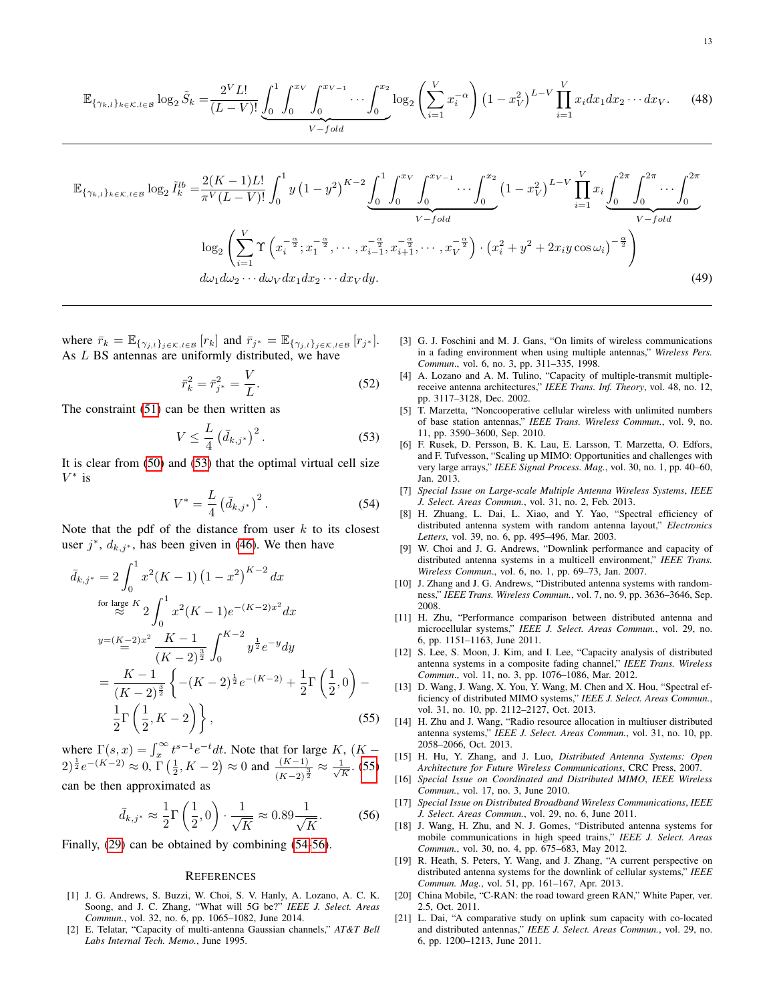$$
\mathbb{E}_{\{\gamma_{k,l}\}_{k\in\mathcal{K},l\in\mathcal{B}}}\log_{2}\tilde{S}_{k} = \frac{2^{V}L!}{(L-V)!} \underbrace{\int_{0}^{1} \int_{0}^{x_{V}} \int_{0}^{x_{V-1}} \cdots \int_{0}^{x_{2}} \log_{2}\left(\sum_{i=1}^{V} x_{i}^{-\alpha}\right) \left(1 - x_{V}^{2}\right)^{L-V} \prod_{i=1}^{V} x_{i} dx_{1} dx_{2} \cdots dx_{V}.
$$
 (48)

$$
\mathbb{E}_{\{\gamma_{k,l}\}_{k\in\mathcal{K},l\in\mathcal{B}}}\log_{2}\tilde{I}_{k}^{lb} = \frac{2(K-1)L!}{\pi^{V}(L-V)!} \int_{0}^{1} y\left(1-y^{2}\right)^{K-2} \underbrace{\int_{0}^{1} \int_{0}^{x_{V}} \int_{0}^{x_{V-1}} \cdots \int_{0}^{x_{2}} \left(1-x_{V}^{2}\right)^{L-V} \prod_{i=1}^{V} x_{i} \underbrace{\int_{0}^{2\pi} \int_{0}^{2\pi} \cdots \int_{0}^{2\pi}}_{V-fold} \frac{\log_{2}\left(\sum_{i=1}^{V} \Upsilon\left(x_{i}^{-\frac{\alpha}{2}}; x_{1}^{-\frac{\alpha}{2}}, \cdots, x_{i-1}^{-\frac{\alpha}{2}}, x_{i+1}^{-\frac{\alpha}{2}}, \cdots, x_{V}^{-\frac{\alpha}{2}}\right) \cdot \left(x_{i}^{2}+y^{2}+2x_{i}y\cos\omega_{i}\right)^{-\frac{\alpha}{2}}\right)}_{d\omega_{1}d\omega_{2} \cdots d\omega_{V}dx_{1}dx_{2} \cdots dx_{V}dy.\tag{49}
$$

where  $\bar{r}_k = \mathbb{E}_{\{\gamma_{j,l}\}_{j \in \mathcal{K}, l \in \mathcal{B}}}[r_k]$  and  $\bar{r}_{j^*} = \mathbb{E}_{\{\gamma_{j,l}\}_{j \in \mathcal{K}, l \in \mathcal{B}}}[r_{j^*}].$ As L BS antennas are uniformly distributed, we have

$$
\bar{r}_k^2 = \bar{r}_{j^*}^2 = \frac{V}{L}.
$$
\n(52)

The constraint [\(51\)](#page-11-7) can be then written as

<span id="page-12-13"></span>
$$
V \le \frac{L}{4} \left( \bar{d}_{k,j^*} \right)^2. \tag{53}
$$

It is clear from [\(50\)](#page-11-8) and [\(53\)](#page-12-13) that the optimal virtual cell size  $V^*$  is

$$
V^* = \frac{L}{4} \left( \bar{d}_{k,j^*} \right)^2.
$$
 (54)

Note that the pdf of the distance from user  $k$  to its closest user  $j^*$ ,  $d_{k,j^*}$ , has been given in [\(46\)](#page-11-9). We then have

$$
\bar{d}_{k,j^*} = 2 \int_0^1 x^2 (K - 1) (1 - x^2)^{K - 2} dx
$$
  
\nfor large  $K_2$   $\int_0^1 x^2 (K - 1) e^{-(K - 2)x^2} dx$   
\n
$$
y = (K - 2)x^2 \frac{K - 1}{(K - 2)^{\frac{3}{2}}} \int_0^{K - 2} y^{\frac{1}{2}} e^{-y} dy
$$
  
\n
$$
= \frac{K - 1}{(K - 2)^{\frac{3}{2}}} \left\{ -(K - 2)^{\frac{1}{2}} e^{-(K - 2)} + \frac{1}{2} \Gamma\left(\frac{1}{2}, 0\right) - \frac{1}{2} \Gamma\left(\frac{1}{2}, K - 2\right) \right\},
$$
\n(55)

where  $\Gamma(s, x) = \int_x^{\infty} t^{s-1} e^{-t} dt$ . Note that for large K,  $(K (2)^{\frac{1}{2}}e^{-(K-2)} \approx 0, \Gamma(\frac{1}{2}, K-2) \approx 0$  and  $\frac{(K-1)}{(K-2)^{\frac{3}{2}}} \approx \frac{1}{\sqrt{N}}$  $\frac{L}{\overline{K}}$ . [\(55\)](#page-12-14)

can be then approximated as

$$
\bar{d}_{k,j^*} \approx \frac{1}{2} \Gamma\left(\frac{1}{2}, 0\right) \cdot \frac{1}{\sqrt{K}} \approx 0.89 \frac{1}{\sqrt{K}}.\tag{56}
$$

Finally, [\(29\)](#page-6-2) can be obtained by combining [\(54](#page-12-15)[-56\)](#page-12-16).

#### **REFERENCES**

- <span id="page-12-0"></span>[1] J. G. Andrews, S. Buzzi, W. Choi, S. V. Hanly, A. Lozano, A. C. K. Soong, and J. C. Zhang, "What will 5G be?" *IEEE J. Select. Areas Commun.*, vol. 32, no. 6, pp. 1065–1082, June 2014.
- <span id="page-12-1"></span>[2] E. Telatar, "Capacity of multi-antenna Gaussian channels," *AT&T Bell Labs Internal Tech. Memo.*, June 1995.
- <span id="page-12-12"></span><span id="page-12-11"></span><span id="page-12-2"></span>[3] G. J. Foschini and M. J. Gans, "On limits of wireless communications in a fading environment when using multiple antennas," *Wireless Pers. Commun*., vol. 6, no. 3, pp. 311–335, 1998.
- <span id="page-12-3"></span>[4] A. Lozano and A. M. Tulino, "Capacity of multiple-transmit multiplereceive antenna architectures," *IEEE Trans. Inf. Theory*, vol. 48, no. 12, pp. 3117–3128, Dec. 2002.
- [5] T. Marzetta, "Noncooperative cellular wireless with unlimited numbers of base station antennas," *IEEE Trans. Wireless Commun.*, vol. 9, no. 11, pp. 3590–3600, Sep. 2010.
- [6] F. Rusek, D. Persson, B. K. Lau, E. Larsson, T. Marzetta, O. Edfors, and F. Tufvesson, "Scaling up MIMO: Opportunities and challenges with very large arrays," *IEEE Signal Process. Mag.*, vol. 30, no. 1, pp. 40–60, Jan. 2013.
- <span id="page-12-15"></span><span id="page-12-4"></span>[7] *Special Issue on Large-scale Multiple Antenna Wireless Systems*, *IEEE J. Select. Areas Commun.*, vol. 31, no. 2, Feb. 2013.
- <span id="page-12-5"></span>[8] H. Zhuang, L. Dai, L. Xiao, and Y. Yao, "Spectral efficiency of distributed antenna system with random antenna layout," *Electronics Letters*, vol. 39, no. 6, pp. 495–496, Mar. 2003.
- [9] W. Choi and J. G. Andrews, "Downlink performance and capacity of distributed antenna systems in a multicell environment," *IEEE Trans. Wireless Commun*., vol. 6, no. 1, pp. 69–73, Jan. 2007.
- [10] J. Zhang and J. G. Andrews, "Distributed antenna systems with randomness," *IEEE Trans. Wireless Commun.*, vol. 7, no. 9, pp. 3636–3646, Sep. 2008.
- [11] H. Zhu, "Performance comparison between distributed antenna and microcellular systems," *IEEE J. Select. Areas Commun.*, vol. 29, no. 6, pp. 1151–1163, June 2011.
- [12] S. Lee, S. Moon, J. Kim, and I. Lee, "Capacity analysis of distributed antenna systems in a composite fading channel," *IEEE Trans. Wireless Commun*., vol. 11, no. 3, pp. 1076–1086, Mar. 2012.
- [13] D. Wang, J. Wang, X. You, Y. Wang, M. Chen and X. Hou, "Spectral efficiency of distributed MIMO systems," *IEEE J. Select. Areas Commun.*, vol. 31, no. 10, pp. 2112–2127, Oct. 2013.
- <span id="page-12-14"></span><span id="page-12-6"></span>[14] H. Zhu and J. Wang, "Radio resource allocation in multiuser distributed antenna systems," *IEEE J. Select. Areas Commun.*, vol. 31, no. 10, pp. 2058–2066, Oct. 2013.
- <span id="page-12-7"></span>[15] H. Hu, Y. Zhang, and J. Luo, *Distributed Antenna Systems: Open Architecture for Future Wireless Communications*, CRC Press, 2007.
- [16] *Special Issue on Coordinated and Distributed MIMO*, *IEEE Wireless Commun.*, vol. 17, no. 3, June 2010.
- <span id="page-12-16"></span>[17] *Special Issue on Distributed Broadband Wireless Communications*, *IEEE J. Select. Areas Commun.*, vol. 29, no. 6, June 2011.
- [18] J. Wang, H. Zhu, and N. J. Gomes, "Distributed antenna systems for mobile communications in high speed trains," *IEEE J. Select. Areas Commun.*, vol. 30, no. 4, pp. 675–683, May 2012.
- <span id="page-12-8"></span>[19] R. Heath, S. Peters, Y. Wang, and J. Zhang, "A current perspective on distributed antenna systems for the downlink of cellular systems," *IEEE Commun. Mag.*, vol. 51, pp. 161–167, Apr. 2013.
- <span id="page-12-9"></span>[20] China Mobile, "C-RAN: the road toward green RAN," White Paper, ver. 2.5, Oct. 2011.
- <span id="page-12-10"></span>[21] L. Dai, "A comparative study on uplink sum capacity with co-located and distributed antennas," *IEEE J. Select. Areas Commun.*, vol. 29, no. 6, pp. 1200–1213, June 2011.